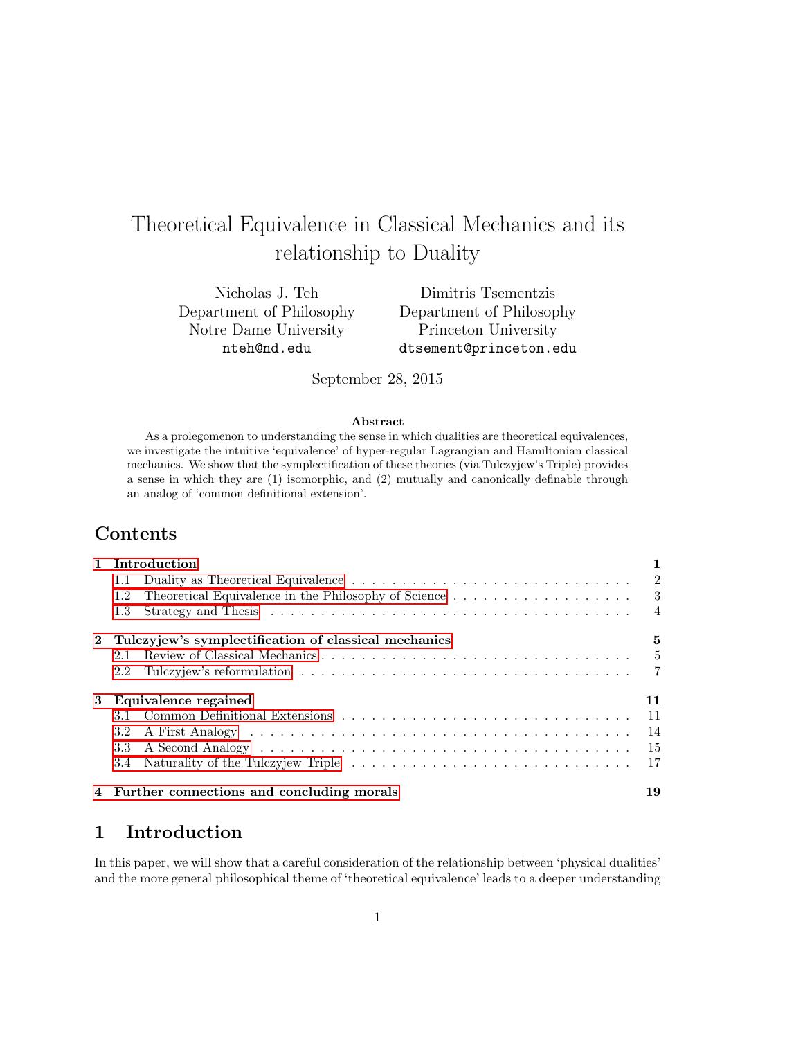# Theoretical Equivalence in Classical Mechanics and its relationship to Duality

Nicholas J. Teh Department of Philosophy Notre Dame University nteh@nd.edu

Dimitris Tsementzis Department of Philosophy Princeton University dtsement@princeton.edu

September 28, 2015

#### Abstract

As a prolegomenon to understanding the sense in which dualities are theoretical equivalences, we investigate the intuitive 'equivalence' of hyper-regular Lagrangian and Hamiltonian classical mechanics. We show that the symplectification of these theories (via Tulczyjew's Triple) provides a sense in which they are (1) isomorphic, and (2) mutually and canonically definable through an analog of 'common definitional extension'.

## Contents

|   | 1 Introduction                                                                                                               |      |
|---|------------------------------------------------------------------------------------------------------------------------------|------|
|   | 1.1                                                                                                                          |      |
|   | Theoretical Equivalence in the Philosophy of Science $\hfill\ldots\ldots\ldots\ldots\ldots\ldots\ldots\ldots\qquad 3$<br>1.2 |      |
|   | 1.3                                                                                                                          |      |
|   | 2 Tulczyjew's symplectification of classical mechanics                                                                       | 5    |
|   | 2.1                                                                                                                          | $-5$ |
|   | 2.2                                                                                                                          |      |
| 3 | Equivalence regained                                                                                                         | 11   |
|   |                                                                                                                              | - 11 |
|   |                                                                                                                              | 14   |
|   | 3.3                                                                                                                          |      |
|   |                                                                                                                              |      |
|   | 4 Further connections and concluding morals                                                                                  | 19   |

## <span id="page-0-0"></span>1 Introduction

In this paper, we will show that a careful consideration of the relationship between 'physical dualities' and the more general philosophical theme of 'theoretical equivalence' leads to a deeper understanding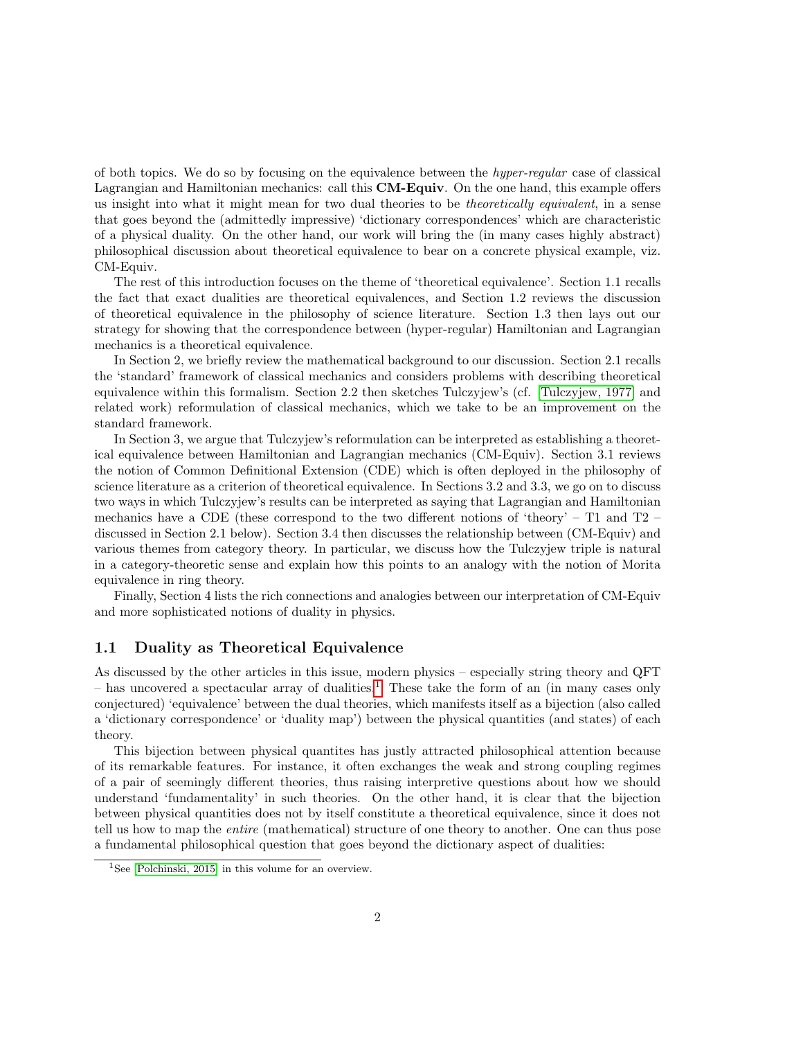of both topics. We do so by focusing on the equivalence between the hyper-regular case of classical Lagrangian and Hamiltonian mechanics: call this CM-Equiv. On the one hand, this example offers us insight into what it might mean for two dual theories to be *theoretically equivalent*, in a sense that goes beyond the (admittedly impressive) 'dictionary correspondences' which are characteristic of a physical duality. On the other hand, our work will bring the (in many cases highly abstract) philosophical discussion about theoretical equivalence to bear on a concrete physical example, viz. CM-Equiv.

The rest of this introduction focuses on the theme of 'theoretical equivalence'. Section 1.1 recalls the fact that exact dualities are theoretical equivalences, and Section 1.2 reviews the discussion of theoretical equivalence in the philosophy of science literature. Section 1.3 then lays out our strategy for showing that the correspondence between (hyper-regular) Hamiltonian and Lagrangian mechanics is a theoretical equivalence.

In Section 2, we briefly review the mathematical background to our discussion. Section 2.1 recalls the 'standard' framework of classical mechanics and considers problems with describing theoretical equivalence within this formalism. Section 2.2 then sketches Tulczyjew's (cf. [\[Tulczyjew, 1977\]](#page-21-0) and related work) reformulation of classical mechanics, which we take to be an improvement on the standard framework.

In Section 3, we argue that Tulczyjew's reformulation can be interpreted as establishing a theoretical equivalence between Hamiltonian and Lagrangian mechanics (CM-Equiv). Section 3.1 reviews the notion of Common Definitional Extension (CDE) which is often deployed in the philosophy of science literature as a criterion of theoretical equivalence. In Sections 3.2 and 3.3, we go on to discuss two ways in which Tulczyjew's results can be interpreted as saying that Lagrangian and Hamiltonian mechanics have a CDE (these correspond to the two different notions of 'theory' – T1 and T2 – discussed in Section 2.1 below). Section 3.4 then discusses the relationship between (CM-Equiv) and various themes from category theory. In particular, we discuss how the Tulczyjew triple is natural in a category-theoretic sense and explain how this points to an analogy with the notion of Morita equivalence in ring theory.

Finally, Section 4 lists the rich connections and analogies between our interpretation of CM-Equiv and more sophisticated notions of duality in physics.

#### <span id="page-1-0"></span>1.1 Duality as Theoretical Equivalence

As discussed by the other articles in this issue, modern physics – especially string theory and QFT  $-$  has uncovered a spectacular array of dualities.<sup>[1](#page-1-1)</sup> These take the form of an (in many cases only conjectured) 'equivalence' between the dual theories, which manifests itself as a bijection (also called a 'dictionary correspondence' or 'duality map') between the physical quantities (and states) of each theory.

This bijection between physical quantites has justly attracted philosophical attention because of its remarkable features. For instance, it often exchanges the weak and strong coupling regimes of a pair of seemingly different theories, thus raising interpretive questions about how we should understand 'fundamentality' in such theories. On the other hand, it is clear that the bijection between physical quantities does not by itself constitute a theoretical equivalence, since it does not tell us how to map the entire (mathematical) structure of one theory to another. One can thus pose a fundamental philosophical question that goes beyond the dictionary aspect of dualities:

<span id="page-1-1"></span><sup>&</sup>lt;sup>1</sup>See [\[Polchinski, 2015\]](#page-20-0) in this volume for an overview.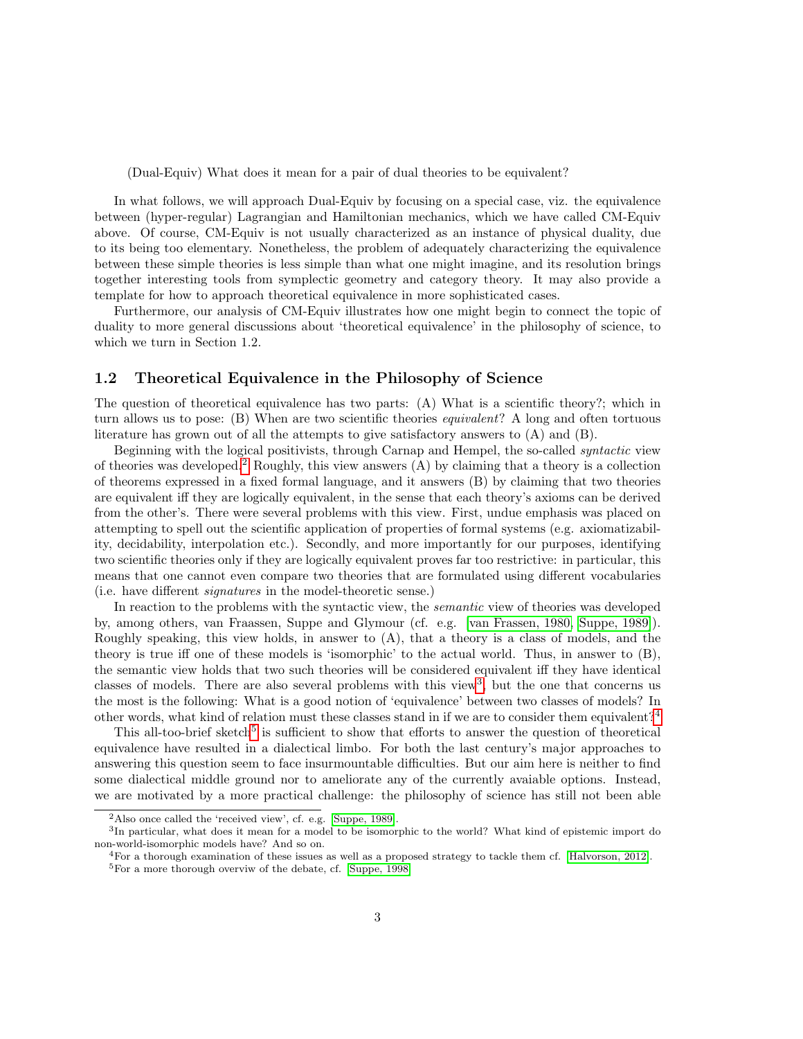(Dual-Equiv) What does it mean for a pair of dual theories to be equivalent?

In what follows, we will approach Dual-Equiv by focusing on a special case, viz. the equivalence between (hyper-regular) Lagrangian and Hamiltonian mechanics, which we have called CM-Equiv above. Of course, CM-Equiv is not usually characterized as an instance of physical duality, due to its being too elementary. Nonetheless, the problem of adequately characterizing the equivalence between these simple theories is less simple than what one might imagine, and its resolution brings together interesting tools from symplectic geometry and category theory. It may also provide a template for how to approach theoretical equivalence in more sophisticated cases.

Furthermore, our analysis of CM-Equiv illustrates how one might begin to connect the topic of duality to more general discussions about 'theoretical equivalence' in the philosophy of science, to which we turn in Section 1.2.

#### <span id="page-2-0"></span>1.2 Theoretical Equivalence in the Philosophy of Science

The question of theoretical equivalence has two parts: (A) What is a scientific theory?; which in turn allows us to pose: (B) When are two scientific theories equivalent? A long and often tortuous literature has grown out of all the attempts to give satisfactory answers to (A) and (B).

Beginning with the logical positivists, through Carnap and Hempel, the so-called syntactic view of theories was developed.<sup>[2](#page-2-1)</sup> Roughly, this view answers  $(A)$  by claiming that a theory is a collection of theorems expressed in a fixed formal language, and it answers (B) by claiming that two theories are equivalent iff they are logically equivalent, in the sense that each theory's axioms can be derived from the other's. There were several problems with this view. First, undue emphasis was placed on attempting to spell out the scientific application of properties of formal systems (e.g. axiomatizability, decidability, interpolation etc.). Secondly, and more importantly for our purposes, identifying two scientific theories only if they are logically equivalent proves far too restrictive: in particular, this means that one cannot even compare two theories that are formulated using different vocabularies (i.e. have different signatures in the model-theoretic sense.)

In reaction to the problems with the syntactic view, the semantic view of theories was developed by, among others, van Fraassen, Suppe and Glymour (cf. e.g. [\[van Frassen, 1980,](#page-21-1) [Suppe, 1989\]](#page-20-1)). Roughly speaking, this view holds, in answer to (A), that a theory is a class of models, and the theory is true iff one of these models is 'isomorphic' to the actual world. Thus, in answer to (B), the semantic view holds that two such theories will be considered equivalent iff they have identical classes of models. There are also several problems with this view<sup>[3](#page-2-2)</sup>, but the one that concerns us the most is the following: What is a good notion of 'equivalence' between two classes of models? In other words, what kind of relation must these classes stand in if we are to consider them equivalent?[4](#page-2-3)

This all-too-brief sketch<sup>[5](#page-2-4)</sup> is sufficient to show that efforts to answer the question of theoretical equivalence have resulted in a dialectical limbo. For both the last century's major approaches to answering this question seem to face insurmountable difficulties. But our aim here is neither to find some dialectical middle ground nor to ameliorate any of the currently avaiable options. Instead, we are motivated by a more practical challenge: the philosophy of science has still not been able

<span id="page-2-2"></span><span id="page-2-1"></span><sup>2</sup>Also once called the 'received view', cf. e.g. [\[Suppe, 1989\]](#page-20-1).

<sup>&</sup>lt;sup>3</sup>In particular, what does it mean for a model to be isomorphic to the world? What kind of epistemic import do non-world-isomorphic models have? And so on.

<span id="page-2-4"></span><span id="page-2-3"></span> $4$ For a thorough examination of these issues as well as a proposed strategy to tackle them cf. [\[Halvorson, 2012\]](#page-20-2). <sup>5</sup>For a more thorough overviw of the debate, cf. [\[Suppe, 1998\]](#page-20-3)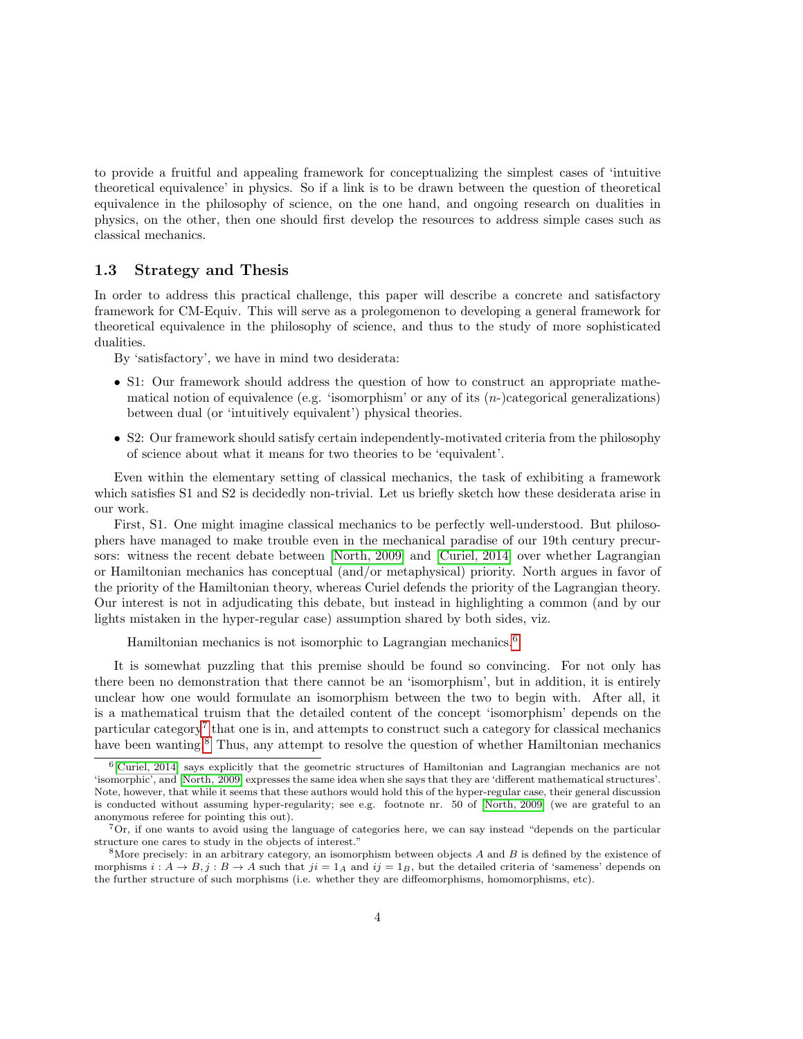to provide a fruitful and appealing framework for conceptualizing the simplest cases of 'intuitive theoretical equivalence' in physics. So if a link is to be drawn between the question of theoretical equivalence in the philosophy of science, on the one hand, and ongoing research on dualities in physics, on the other, then one should first develop the resources to address simple cases such as classical mechanics.

#### <span id="page-3-0"></span>1.3 Strategy and Thesis

In order to address this practical challenge, this paper will describe a concrete and satisfactory framework for CM-Equiv. This will serve as a prolegomenon to developing a general framework for theoretical equivalence in the philosophy of science, and thus to the study of more sophisticated dualities.

By 'satisfactory', we have in mind two desiderata:

- S1: Our framework should address the question of how to construct an appropriate mathematical notion of equivalence (e.g. 'isomorphism' or any of its  $(n-)$ categorical generalizations) between dual (or 'intuitively equivalent') physical theories.
- S2: Our framework should satisfy certain independently-motivated criteria from the philosophy of science about what it means for two theories to be 'equivalent'.

Even within the elementary setting of classical mechanics, the task of exhibiting a framework which satisfies S1 and S2 is decidedly non-trivial. Let us briefly sketch how these desiderata arise in our work.

First, S1. One might imagine classical mechanics to be perfectly well-understood. But philosophers have managed to make trouble even in the mechanical paradise of our 19th century precursors: witness the recent debate between [\[North, 2009\]](#page-20-4) and [\[Curiel, 2014\]](#page-20-5) over whether Lagrangian or Hamiltonian mechanics has conceptual (and/or metaphysical) priority. North argues in favor of the priority of the Hamiltonian theory, whereas Curiel defends the priority of the Lagrangian theory. Our interest is not in adjudicating this debate, but instead in highlighting a common (and by our lights mistaken in the hyper-regular case) assumption shared by both sides, viz.

Hamiltonian mechanics is not isomorphic to Lagrangian mechanics.[6](#page-3-1)

It is somewhat puzzling that this premise should be found so convincing. For not only has there been no demonstration that there cannot be an 'isomorphism', but in addition, it is entirely unclear how one would formulate an isomorphism between the two to begin with. After all, it is a mathematical truism that the detailed content of the concept 'isomorphism' depends on the particular category<sup>[7](#page-3-2)</sup> that one is in, and attempts to construct such a category for classical mechanics have been wanting.<sup>[8](#page-3-3)</sup> Thus, any attempt to resolve the question of whether Hamiltonian mechanics

<span id="page-3-1"></span><sup>&</sup>lt;sup>6</sup>[\[Curiel, 2014\]](#page-20-5) says explicitly that the geometric structures of Hamiltonian and Lagrangian mechanics are not 'isomorphic', and [\[North, 2009\]](#page-20-4) expresses the same idea when she says that they are 'different mathematical structures'. Note, however, that while it seems that these authors would hold this of the hyper-regular case, their general discussion is conducted without assuming hyper-regularity; see e.g. footnote nr. 50 of [\[North, 2009\]](#page-20-4) (we are grateful to an anonymous referee for pointing this out).

<span id="page-3-2"></span><sup>7</sup>Or, if one wants to avoid using the language of categories here, we can say instead "depends on the particular structure one cares to study in the objects of interest."

<span id="page-3-3"></span><sup>&</sup>lt;sup>8</sup>More precisely: in an arbitrary category, an isomorphism between objects  $A$  and  $B$  is defined by the existence of morphisms  $i : A \rightarrow B, j : B \rightarrow A$  such that  $ji = 1_A$  and  $ij = 1_B$ , but the detailed criteria of 'sameness' depends on the further structure of such morphisms (i.e. whether they are diffeomorphisms, homomorphisms, etc).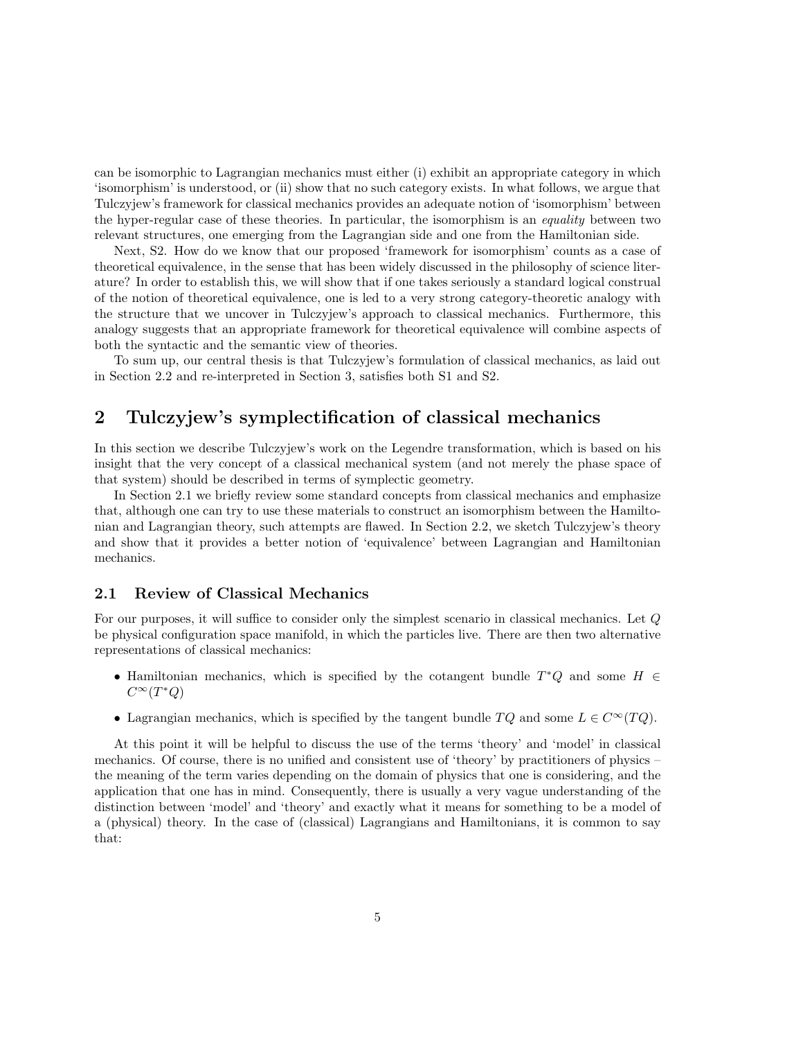can be isomorphic to Lagrangian mechanics must either (i) exhibit an appropriate category in which 'isomorphism' is understood, or (ii) show that no such category exists. In what follows, we argue that Tulczyjew's framework for classical mechanics provides an adequate notion of 'isomorphism' between the hyper-regular case of these theories. In particular, the isomorphism is an equality between two relevant structures, one emerging from the Lagrangian side and one from the Hamiltonian side.

Next, S2. How do we know that our proposed 'framework for isomorphism' counts as a case of theoretical equivalence, in the sense that has been widely discussed in the philosophy of science literature? In order to establish this, we will show that if one takes seriously a standard logical construal of the notion of theoretical equivalence, one is led to a very strong category-theoretic analogy with the structure that we uncover in Tulczyjew's approach to classical mechanics. Furthermore, this analogy suggests that an appropriate framework for theoretical equivalence will combine aspects of both the syntactic and the semantic view of theories.

To sum up, our central thesis is that Tulczyjew's formulation of classical mechanics, as laid out in Section 2.2 and re-interpreted in Section 3, satisfies both S1 and S2.

## <span id="page-4-0"></span>2 Tulczyjew's symplectification of classical mechanics

In this section we describe Tulczyjew's work on the Legendre transformation, which is based on his insight that the very concept of a classical mechanical system (and not merely the phase space of that system) should be described in terms of symplectic geometry.

In Section 2.1 we briefly review some standard concepts from classical mechanics and emphasize that, although one can try to use these materials to construct an isomorphism between the Hamiltonian and Lagrangian theory, such attempts are flawed. In Section 2.2, we sketch Tulczyjew's theory and show that it provides a better notion of 'equivalence' between Lagrangian and Hamiltonian mechanics.

### <span id="page-4-1"></span>2.1 Review of Classical Mechanics

For our purposes, it will suffice to consider only the simplest scenario in classical mechanics. Let Q be physical configuration space manifold, in which the particles live. There are then two alternative representations of classical mechanics:

- Hamiltonian mechanics, which is specified by the cotangent bundle  $T^*Q$  and some  $H \in$  $C^{\infty}(T^*Q)$
- Lagrangian mechanics, which is specified by the tangent bundle  $TQ$  and some  $L \in C^{\infty}(TQ)$ .

At this point it will be helpful to discuss the use of the terms 'theory' and 'model' in classical mechanics. Of course, there is no unified and consistent use of 'theory' by practitioners of physics – the meaning of the term varies depending on the domain of physics that one is considering, and the application that one has in mind. Consequently, there is usually a very vague understanding of the distinction between 'model' and 'theory' and exactly what it means for something to be a model of a (physical) theory. In the case of (classical) Lagrangians and Hamiltonians, it is common to say that: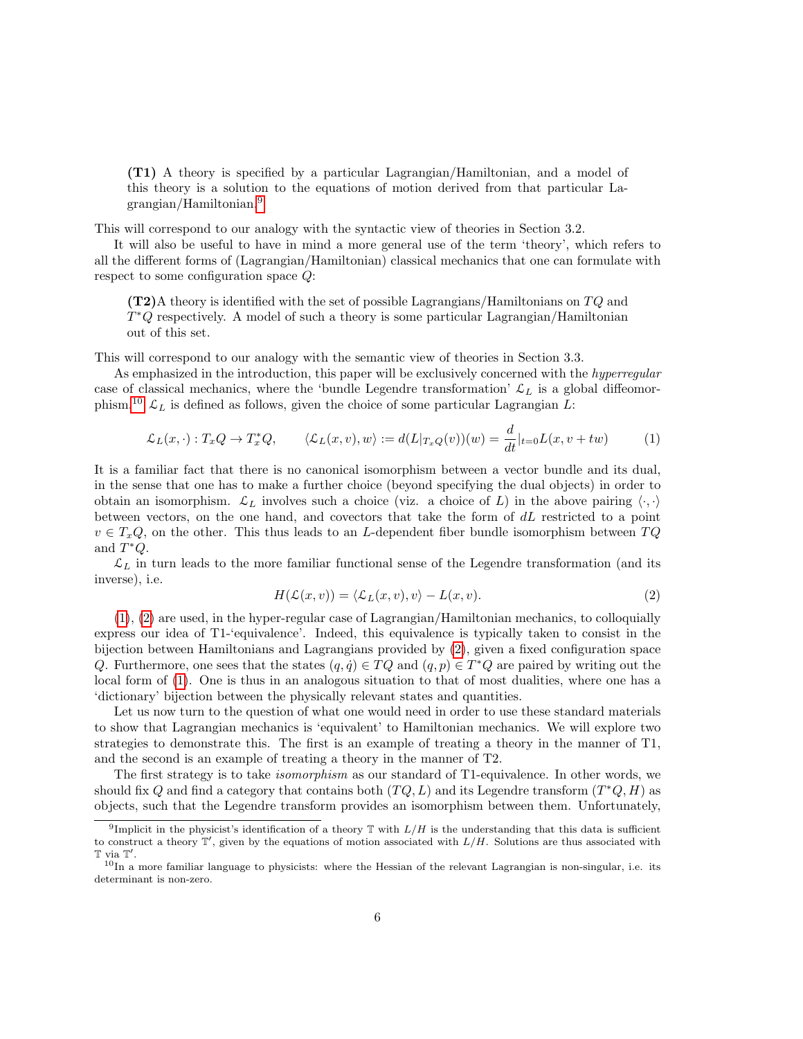(T1) A theory is specified by a particular Lagrangian/Hamiltonian, and a model of this theory is a solution to the equations of motion derived from that particular Lagrangian/Hamiltonian.[9](#page-5-0)

This will correspond to our analogy with the syntactic view of theories in Section 3.2.

It will also be useful to have in mind a more general use of the term 'theory', which refers to all the different forms of (Lagrangian/Hamiltonian) classical mechanics that one can formulate with respect to some configuration space Q:

 $(T2)$ A theory is identified with the set of possible Lagrangians/Hamiltonians on  $TQ$  and T <sup>∗</sup>Q respectively. A model of such a theory is some particular Lagrangian/Hamiltonian out of this set.

This will correspond to our analogy with the semantic view of theories in Section 3.3.

As emphasized in the introduction, this paper will be exclusively concerned with the hyperregular case of classical mechanics, where the 'bundle Legendre transformation'  $\mathcal{L}_L$  is a global diffeomor-phism.<sup>[10](#page-5-1)</sup>  $\mathcal{L}_L$  is defined as follows, given the choice of some particular Lagrangian L:

<span id="page-5-2"></span>
$$
\mathcal{L}_L(x,\cdot): T_x Q \to T_x^* Q, \qquad \langle \mathcal{L}_L(x,v), w \rangle := d(L|_{T_x Q}(v))(w) = \frac{d}{dt}|_{t=0} L(x,v+tw)
$$
 (1)

It is a familiar fact that there is no canonical isomorphism between a vector bundle and its dual, in the sense that one has to make a further choice (beyond specifying the dual objects) in order to obtain an isomorphism.  $\mathcal{L}_L$  involves such a choice (viz. a choice of L) in the above pairing  $\langle \cdot, \cdot \rangle$ between vectors, on the one hand, and covectors that take the form of dL restricted to a point  $v \in T_xQ$ , on the other. This thus leads to an L-dependent fiber bundle isomorphism between  $TQ$ and  $T^*Q$ .

 $\mathcal{L}_L$  in turn leads to the more familiar functional sense of the Legendre transformation (and its inverse), i.e.

<span id="page-5-3"></span>
$$
H(\mathcal{L}(x,v)) = \langle \mathcal{L}_L(x,v), v \rangle - L(x,v). \tag{2}
$$

[\(1\)](#page-5-2), [\(2\)](#page-5-3) are used, in the hyper-regular case of Lagrangian/Hamiltonian mechanics, to colloquially express our idea of T1-'equivalence'. Indeed, this equivalence is typically taken to consist in the bijection between Hamiltonians and Lagrangians provided by [\(2\)](#page-5-3), given a fixed configuration space Q. Furthermore, one sees that the states  $(q, \dot{q}) \in TQ$  and  $(q, p) \in T^*Q$  are paired by writing out the local form of [\(1\)](#page-5-2). One is thus in an analogous situation to that of most dualities, where one has a 'dictionary' bijection between the physically relevant states and quantities.

Let us now turn to the question of what one would need in order to use these standard materials to show that Lagrangian mechanics is 'equivalent' to Hamiltonian mechanics. We will explore two strategies to demonstrate this. The first is an example of treating a theory in the manner of T1, and the second is an example of treating a theory in the manner of T2.

The first strategy is to take *isomorphism* as our standard of T1-equivalence. In other words, we should fix Q and find a category that contains both  $(TQ, L)$  and its Legendre transform  $(T^*Q, H)$  as objects, such that the Legendre transform provides an isomorphism between them. Unfortunately,

<span id="page-5-0"></span><sup>&</sup>lt;sup>9</sup>Implicit in the physicist's identification of a theory  $\mathbb T$  with  $L/H$  is the understanding that this data is sufficient to construct a theory  $\mathbb{T}'$ , given by the equations of motion associated with  $L/H$ . Solutions are thus associated with  $\mathbb T$  via  $\mathbb T'.$ 

<span id="page-5-1"></span> $10$ In a more familiar language to physicists: where the Hessian of the relevant Lagrangian is non-singular, i.e. its determinant is non-zero.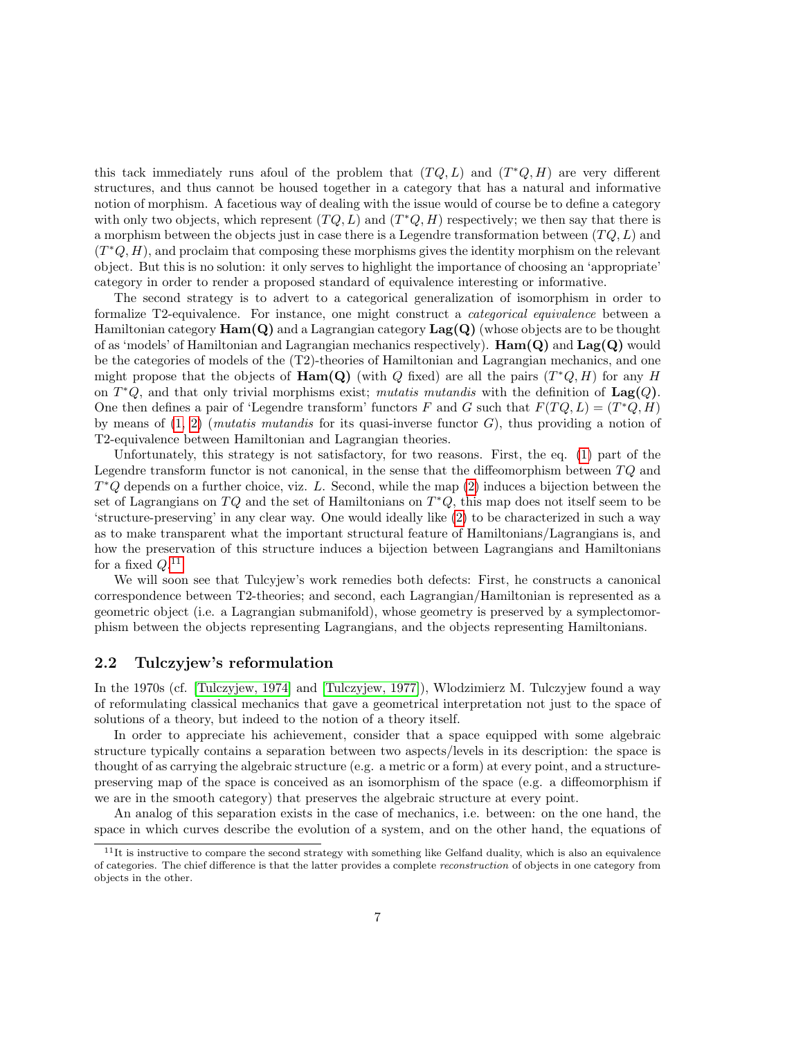this tack immediately runs afoul of the problem that  $(TQ, L)$  and  $(T^*Q, H)$  are very different structures, and thus cannot be housed together in a category that has a natural and informative notion of morphism. A facetious way of dealing with the issue would of course be to define a category with only two objects, which represent  $(TQ, L)$  and  $(T^*Q, H)$  respectively; we then say that there is a morphism between the objects just in case there is a Legendre transformation between  $(TQ, L)$  and  $(T^*Q, H)$ , and proclaim that composing these morphisms gives the identity morphism on the relevant object. But this is no solution: it only serves to highlight the importance of choosing an 'appropriate' category in order to render a proposed standard of equivalence interesting or informative.

The second strategy is to advert to a categorical generalization of isomorphism in order to formalize T2-equivalence. For instance, one might construct a categorical equivalence between a Hamiltonian category  $\text{Ham}(Q)$  and a Lagrangian category  $\text{Lag}(Q)$  (whose objects are to be thought of as 'models' of Hamiltonian and Lagrangian mechanics respectively).  $\text{Ham}(Q)$  and  $\text{Lag}(Q)$  would be the categories of models of the (T2)-theories of Hamiltonian and Lagrangian mechanics, and one might propose that the objects of  $\text{Ham}(Q)$  (with Q fixed) are all the pairs  $(T^*Q, H)$  for any H on  $T^*Q$ , and that only trivial morphisms exist; mutatis mutandis with the definition of  $\text{Lag}(Q)$ . One then defines a pair of 'Legendre transform' functors F and G such that  $F(TQ, L) = (T^*Q, H)$ by means of  $(1, 2)$  $(1, 2)$  (*mutatis mutandis* for its quasi-inverse functor  $G$ ), thus providing a notion of T2-equivalence between Hamiltonian and Lagrangian theories.

Unfortunately, this strategy is not satisfactory, for two reasons. First, the eq. [\(1\)](#page-5-2) part of the Legendre transform functor is not canonical, in the sense that the diffeomorphism between  $TQ$  and  $T^*Q$  depends on a further choice, viz. L. Second, while the map  $(2)$  induces a bijection between the set of Lagrangians on TQ and the set of Hamiltonians on  $T^*Q$ , this map does not itself seem to be 'structure-preserving' in any clear way. One would ideally like [\(2\)](#page-5-3) to be characterized in such a way as to make transparent what the important structural feature of Hamiltonians/Lagrangians is, and how the preservation of this structure induces a bijection between Lagrangians and Hamiltonians for a fixed  $Q$ .<sup>[11](#page-6-1)</sup>

We will soon see that Tulcyjew's work remedies both defects: First, he constructs a canonical correspondence between T2-theories; and second, each Lagrangian/Hamiltonian is represented as a geometric object (i.e. a Lagrangian submanifold), whose geometry is preserved by a symplectomorphism between the objects representing Lagrangians, and the objects representing Hamiltonians.

#### <span id="page-6-0"></span>2.2 Tulczyjew's reformulation

In the 1970s (cf. [\[Tulczyjew, 1974\]](#page-21-2) and [\[Tulczyjew, 1977\]](#page-21-0)), Wlodzimierz M. Tulczyjew found a way of reformulating classical mechanics that gave a geometrical interpretation not just to the space of solutions of a theory, but indeed to the notion of a theory itself.

In order to appreciate his achievement, consider that a space equipped with some algebraic structure typically contains a separation between two aspects/levels in its description: the space is thought of as carrying the algebraic structure (e.g. a metric or a form) at every point, and a structurepreserving map of the space is conceived as an isomorphism of the space (e.g. a diffeomorphism if we are in the smooth category) that preserves the algebraic structure at every point.

An analog of this separation exists in the case of mechanics, i.e. between: on the one hand, the space in which curves describe the evolution of a system, and on the other hand, the equations of

<span id="page-6-1"></span> $11$ It is instructive to compare the second strategy with something like Gelfand duality, which is also an equivalence of categories. The chief difference is that the latter provides a complete reconstruction of objects in one category from objects in the other.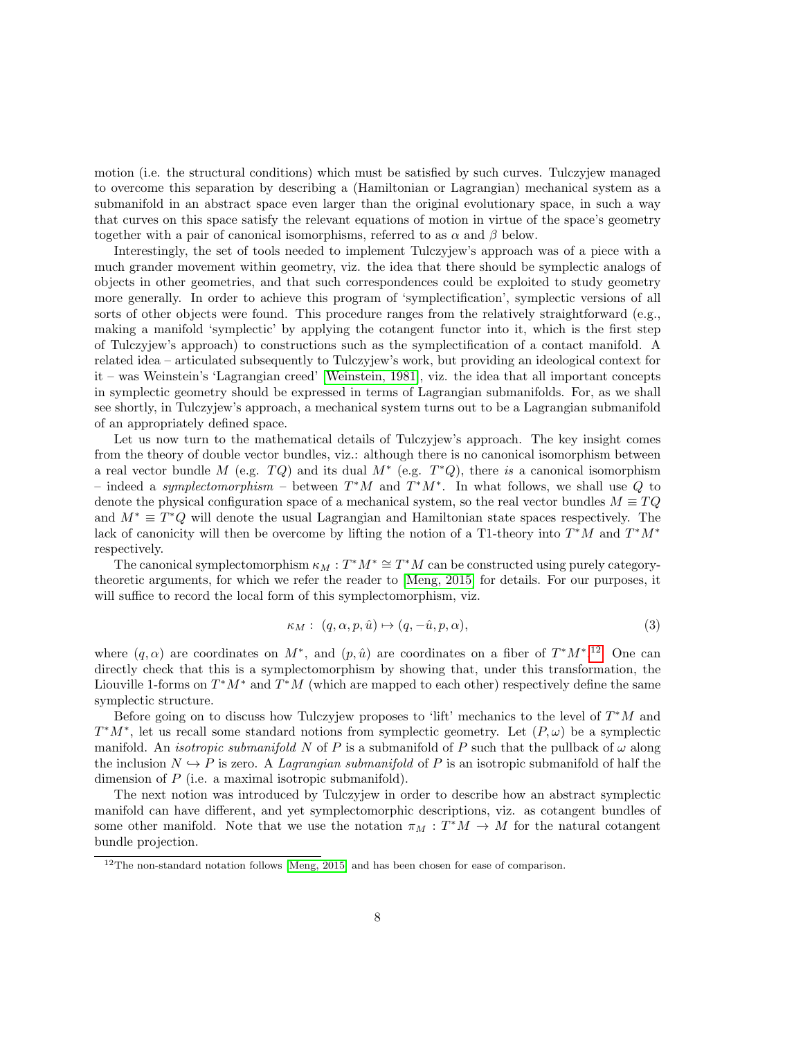motion (i.e. the structural conditions) which must be satisfied by such curves. Tulczyjew managed to overcome this separation by describing a (Hamiltonian or Lagrangian) mechanical system as a submanifold in an abstract space even larger than the original evolutionary space, in such a way that curves on this space satisfy the relevant equations of motion in virtue of the space's geometry together with a pair of canonical isomorphisms, referred to as  $\alpha$  and  $\beta$  below.

Interestingly, the set of tools needed to implement Tulczyjew's approach was of a piece with a much grander movement within geometry, viz. the idea that there should be symplectic analogs of objects in other geometries, and that such correspondences could be exploited to study geometry more generally. In order to achieve this program of 'symplectification', symplectic versions of all sorts of other objects were found. This procedure ranges from the relatively straightforward (e.g., making a manifold 'symplectic' by applying the cotangent functor into it, which is the first step of Tulczyjew's approach) to constructions such as the symplectification of a contact manifold. A related idea – articulated subsequently to Tulczyjew's work, but providing an ideological context for it – was Weinstein's 'Lagrangian creed' [\[Weinstein, 1981\]](#page-21-3), viz. the idea that all important concepts in symplectic geometry should be expressed in terms of Lagrangian submanifolds. For, as we shall see shortly, in Tulczyjew's approach, a mechanical system turns out to be a Lagrangian submanifold of an appropriately defined space.

Let us now turn to the mathematical details of Tulczyjew's approach. The key insight comes from the theory of double vector bundles, viz.: although there is no canonical isomorphism between a real vector bundle M (e.g.  $TQ$ ) and its dual  $M^*$  (e.g.  $T^*Q$ ), there is a canonical isomorphism – indeed a symplectomorphism – between  $T^*M$  and  $T^*M^*$ . In what follows, we shall use Q to denote the physical configuration space of a mechanical system, so the real vector bundles  $M \equiv TQ$ and  $M^* \equiv T^*Q$  will denote the usual Lagrangian and Hamiltonian state spaces respectively. The lack of canonicity will then be overcome by lifting the notion of a T1-theory into  $T^*M$  and  $T^*M^*$ respectively.

The canonical symplectomorphism  $\kappa_M : T^*M^* \cong T^*M$  can be constructed using purely categorytheoretic arguments, for which we refer the reader to [\[Meng, 2015\]](#page-20-6) for details. For our purposes, it will suffice to record the local form of this symplectomorphism, viz.

<span id="page-7-1"></span>
$$
\kappa_M: (q, \alpha, p, \hat{u}) \mapsto (q, -\hat{u}, p, \alpha), \tag{3}
$$

where  $(q, \alpha)$  are coordinates on  $M^*$ , and  $(p, \hat{u})$  are coordinates on a fiber of  $T^*M^*$ .<sup>[12](#page-7-0)</sup> One can directly check that this is a symplectomorphism by showing that, under this transformation, the Liouville 1-forms on  $T^*M^*$  and  $T^*M$  (which are mapped to each other) respectively define the same symplectic structure.

Before going on to discuss how Tulczyjew proposes to 'lift' mechanics to the level of  $T^*M$  and  $T^*M^*$ , let us recall some standard notions from symplectic geometry. Let  $(P, \omega)$  be a symplectic manifold. An *isotropic submanifold* N of P is a submanifold of P such that the pullback of  $\omega$  along the inclusion  $N \hookrightarrow P$  is zero. A *Lagrangian submanifold* of P is an isotropic submanifold of half the dimension of P (i.e. a maximal isotropic submanifold).

The next notion was introduced by Tulczyjew in order to describe how an abstract symplectic manifold can have different, and yet symplectomorphic descriptions, viz. as cotangent bundles of some other manifold. Note that we use the notation  $\pi_M : T^*M \to M$  for the natural cotangent bundle projection.

<span id="page-7-0"></span><sup>12</sup>The non-standard notation follows [\[Meng, 2015\]](#page-20-6) and has been chosen for ease of comparison.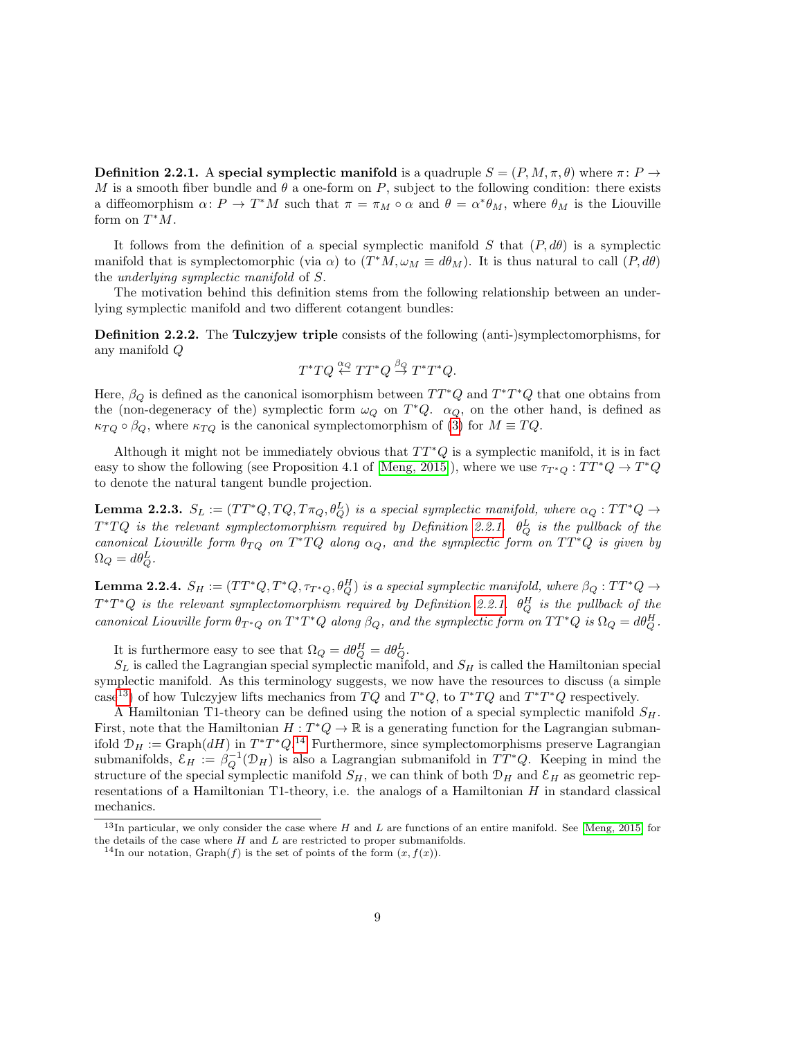<span id="page-8-0"></span>**Definition 2.2.1.** A special symplectic manifold is a quadruple  $S = (P, M, \pi, \theta)$  where  $\pi: P \to$ M is a smooth fiber bundle and  $\theta$  a one-form on P, subject to the following condition: there exists a diffeomorphism  $\alpha: P \to T^*M$  such that  $\pi = \pi_M \circ \alpha$  and  $\theta = \alpha^*\theta_M$ , where  $\theta_M$  is the Liouville form on  $T^*M$ .

It follows from the definition of a special symplectic manifold S that  $(P, d\theta)$  is a symplectic manifold that is symplectomorphic (via  $\alpha$ ) to  $(T^*M, \omega_M \equiv d\theta_M)$ . It is thus natural to call  $(P, d\theta)$ the underlying symplectic manifold of S.

The motivation behind this definition stems from the following relationship between an underlying symplectic manifold and two different cotangent bundles:

Definition 2.2.2. The Tulczyjew triple consists of the following (anti-)symplectomorphisms, for any manifold Q

$$
T^*TQ \stackrel{\alpha_Q}{\leftarrow} TT^*Q \stackrel{\beta_Q}{\rightarrow} T^*T^*Q.
$$

Here,  $\beta_Q$  is defined as the canonical isomorphism between  $TT^*Q$  and  $T^*T^*Q$  that one obtains from the (non-degeneracy of the) symplectic form  $\omega_Q$  on  $T^*Q$ .  $\alpha_Q$ , on the other hand, is defined as  $\kappa_{TQ} \circ \beta_Q$ , where  $\kappa_{TQ}$  is the canonical symplectomorphism of [\(3\)](#page-7-1) for  $M \equiv TQ$ .

Although it might not be immediately obvious that  $TT^*Q$  is a symplectic manifold, it is in fact easy to show the following (see Proposition 4.1 of [\[Meng, 2015\]](#page-20-6)), where we use  $\tau_{T^*Q}: TT^*Q \to T^*Q$ to denote the natural tangent bundle projection.

<span id="page-8-4"></span>**Lemma 2.2.3.**  $S_L := (TT^*Q, TQ, T\pi_Q, \theta_Q^L)$  is a special symplectic manifold, where  $\alpha_Q: TT^*Q \rightarrow$  $T^*TQ$  is the relevant symplectomorphism required by Definition [2.2.1.](#page-8-0)  $\theta^L_Q$  is the pullback of the canonical Liouville form  $\theta_{TQ}$  on  $T^*TQ$  along  $\alpha_Q$ , and the symplectic form on  $TT^*Q$  is given by  $\Omega_Q = d\theta_Q^L$ .

<span id="page-8-3"></span>**Lemma 2.2.4.**  $S_H := (TT^*Q, T^*Q, \tau_{T^*Q}, \theta_Q^H)$  is a special symplectic manifold, where  $\beta_Q: TT^*Q \rightarrow$  $T^*T^*Q$  is the relevant symplectomorphism required by Definition [2.2.1.](#page-8-0)  $\theta^H_Q$  is the pullback of the canonical Liouville form  $\theta_{T^*Q}$  on  $T^*T^*Q$  along  $\beta_Q$ , and the symplectic form on  $TT^*Q$  is  $\Omega_Q = d\theta_Q^H$ .

It is furthermore easy to see that  $\Omega_Q = d\theta_Q^H = d\theta_Q^L$ .

 $S_L$  is called the Lagrangian special symplectic manifold, and  $S_H$  is called the Hamiltonian special symplectic manifold. As this terminology suggests, we now have the resources to discuss (a simple case<sup>[13](#page-8-1)</sup>) of how Tulczyjew lifts mechanics from TQ and  $T^*Q$ , to  $T^*TQ$  and  $T^*T^*Q$  respectively.

A Hamiltonian T1-theory can be defined using the notion of a special symplectic manifold  $S_H$ . First, note that the Hamiltonian  $H: T^*Q \to \mathbb{R}$  is a generating function for the Lagrangian submanifold  $\mathcal{D}_H := \text{Graph}(dH)$  in  $T^*T^*Q$ .<sup>[14](#page-8-2)</sup> Furthermore, since symplectomorphisms preserve Lagrangian submanifolds,  $\mathcal{E}_H := \beta_Q^{-1}(\mathcal{D}_H)$  is also a Lagrangian submanifold in  $TT^*Q$ . Keeping in mind the structure of the special symplectic manifold  $S_H$ , we can think of both  $\mathcal{D}_H$  and  $\mathcal{E}_H$  as geometric representations of a Hamiltonian T1-theory, i.e. the analogs of a Hamiltonian  $H$  in standard classical mechanics.

<span id="page-8-1"></span><sup>&</sup>lt;sup>13</sup>In particular, we only consider the case where H and L are functions of an entire manifold. See [\[Meng, 2015\]](#page-20-6) for the details of the case where  $H$  and  $L$  are restricted to proper submanifolds.

<span id="page-8-2"></span><sup>&</sup>lt;sup>14</sup>In our notation, Graph(f) is the set of points of the form  $(x, f(x))$ .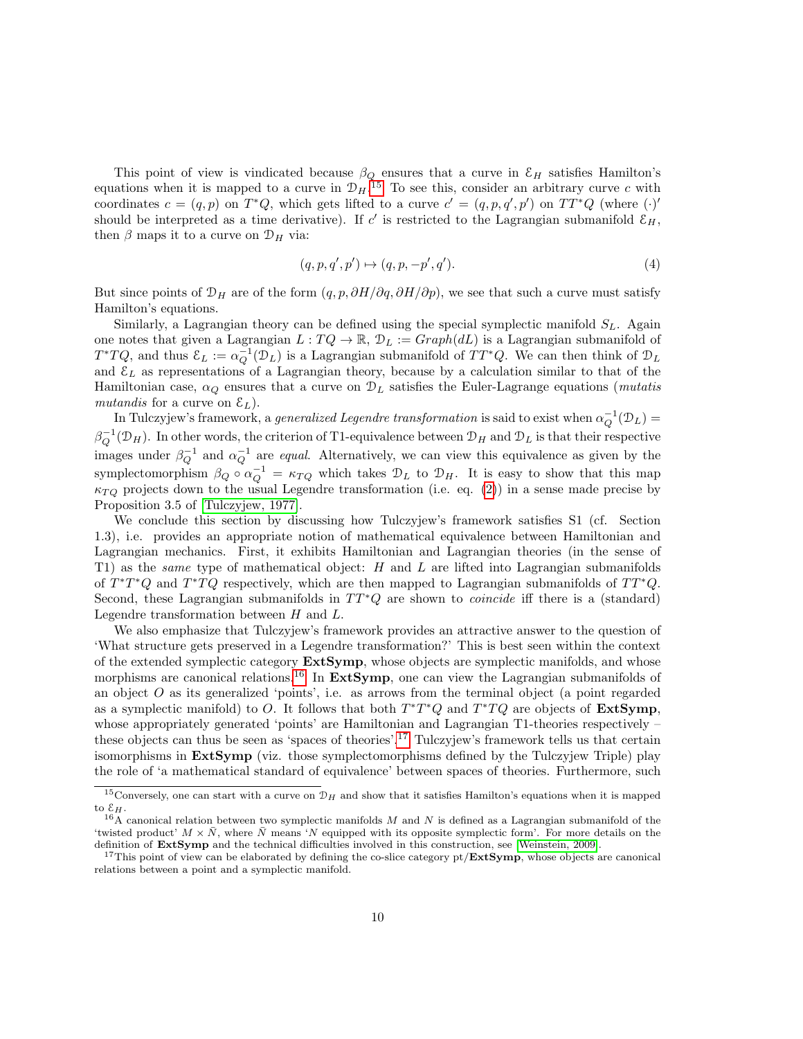This point of view is vindicated because  $\beta_Q$  ensures that a curve in  $\mathcal{E}_H$  satisfies Hamilton's equations when it is mapped to a curve in  $\mathcal{D}_H$ .<sup>[15](#page-9-0)</sup> To see this, consider an arbitrary curve c with coordinates  $c = (q, p)$  on  $T^*Q$ , which gets lifted to a curve  $c' = (q, p, q', p')$  on  $TT^*Q$  (where  $(\cdot)$ ' should be interpreted as a time derivative). If c' is restricted to the Lagrangian submanifold  $\mathcal{E}_H$ , then  $\beta$  maps it to a curve on  $\mathcal{D}_H$  via:

$$
(q, p, q', p') \mapsto (q, p, -p', q'). \tag{4}
$$

But since points of  $\mathcal{D}_H$  are of the form  $(q, p, \partial H/\partial q, \partial H/\partial p)$ , we see that such a curve must satisfy Hamilton's equations.

Similarly, a Lagrangian theory can be defined using the special symplectic manifold  $S_L$ . Again one notes that given a Lagrangian  $L: TQ \to \mathbb{R}, \mathcal{D}_L := Graph(dL)$  is a Lagrangian submanifold of  $T^*TQ$ , and thus  $\mathcal{E}_L := \alpha_Q^{-1}(\mathcal{D}_L)$  is a Lagrangian submanifold of  $TT^*Q$ . We can then think of  $\mathcal{D}_L$ and  $\mathcal{E}_L$  as representations of a Lagrangian theory, because by a calculation similar to that of the Hamiltonian case,  $\alpha_Q$  ensures that a curve on  $\mathcal{D}_L$  satisfies the Euler-Lagrange equations (*mutatis* mutandis for a curve on  $\mathcal{E}_L$ ).

In Tulczyjew's framework, a *generalized Legendre transformation* is said to exist when  $\alpha_Q^{-1}(\mathcal{D}_L)$  =  $\beta_Q^{-1}(\mathcal{D}_H)$ . In other words, the criterion of T1-equivalence between  $\mathcal{D}_H$  and  $\mathcal{D}_L$  is that their respective images under  $\beta_Q^{-1}$  and  $\alpha_Q^{-1}$  are *equal.* Alternatively, we can view this equivalence as given by the symplectomorphism  $\beta_Q \circ \alpha_Q^{-1} = \kappa_{TQ}$  which takes  $\mathcal{D}_L$  to  $\mathcal{D}_H$ . It is easy to show that this map  $\kappa_{TO}$  projects down to the usual Legendre transformation (i.e. eq. [\(2\)](#page-5-3)) in a sense made precise by Proposition 3.5 of [\[Tulczyjew, 1977\]](#page-21-0).

We conclude this section by discussing how Tulczyjew's framework satisfies S1 (cf. Section 1.3), i.e. provides an appropriate notion of mathematical equivalence between Hamiltonian and Lagrangian mechanics. First, it exhibits Hamiltonian and Lagrangian theories (in the sense of T1) as the *same* type of mathematical object:  $H$  and  $L$  are lifted into Lagrangian submanifolds of  $T^*T^*Q$  and  $T^*TQ$  respectively, which are then mapped to Lagrangian submanifolds of  $TT^*Q$ . Second, these Lagrangian submanifolds in  $TT^{\ast}Q$  are shown to *coincide* iff there is a (standard) Legendre transformation between H and L.

We also emphasize that Tulczyjew's framework provides an attractive answer to the question of 'What structure gets preserved in a Legendre transformation?' This is best seen within the context of the extended symplectic category ExtSymp, whose objects are symplectic manifolds, and whose morphisms are canonical relations.<sup>[16](#page-9-1)</sup> In ExtSymp, one can view the Lagrangian submanifolds of an object  $O$  as its generalized 'points', i.e. as arrows from the terminal object (a point regarded as a symplectic manifold) to O. It follows that both  $T^*T^*Q$  and  $T^*TQ$  are objects of ExtSymp, whose appropriately generated 'points' are Hamiltonian and Lagrangian T1-theories respectively – these objects can thus be seen as 'spaces of theories'.[17](#page-9-2) Tulczyjew's framework tells us that certain isomorphisms in ExtSymp (viz. those symplectomorphisms defined by the Tulczyjew Triple) play the role of 'a mathematical standard of equivalence' between spaces of theories. Furthermore, such

<span id="page-9-0"></span><sup>&</sup>lt;sup>15</sup>Conversely, one can start with a curve on  $\mathcal{D}_H$  and show that it satisfies Hamilton's equations when it is mapped to  $\mathcal{E}_H$ .

<span id="page-9-1"></span> $16\text{\AA}$  canonical relation between two symplectic manifolds M and N is defined as a Lagrangian submanifold of the 'twisted product'  $M \times \overline{N}$ , where  $\overline{N}$  means 'N equipped with its opposite symplectic form'. For more details on the definition of ExtSymp and the technical difficulties involved in this construction, see [\[Weinstein, 2009\]](#page-21-4).

<span id="page-9-2"></span><sup>&</sup>lt;sup>17</sup>This point of view can be elaborated by defining the co-slice category  $pt/ExtSymp$ , whose objects are canonical relations between a point and a symplectic manifold.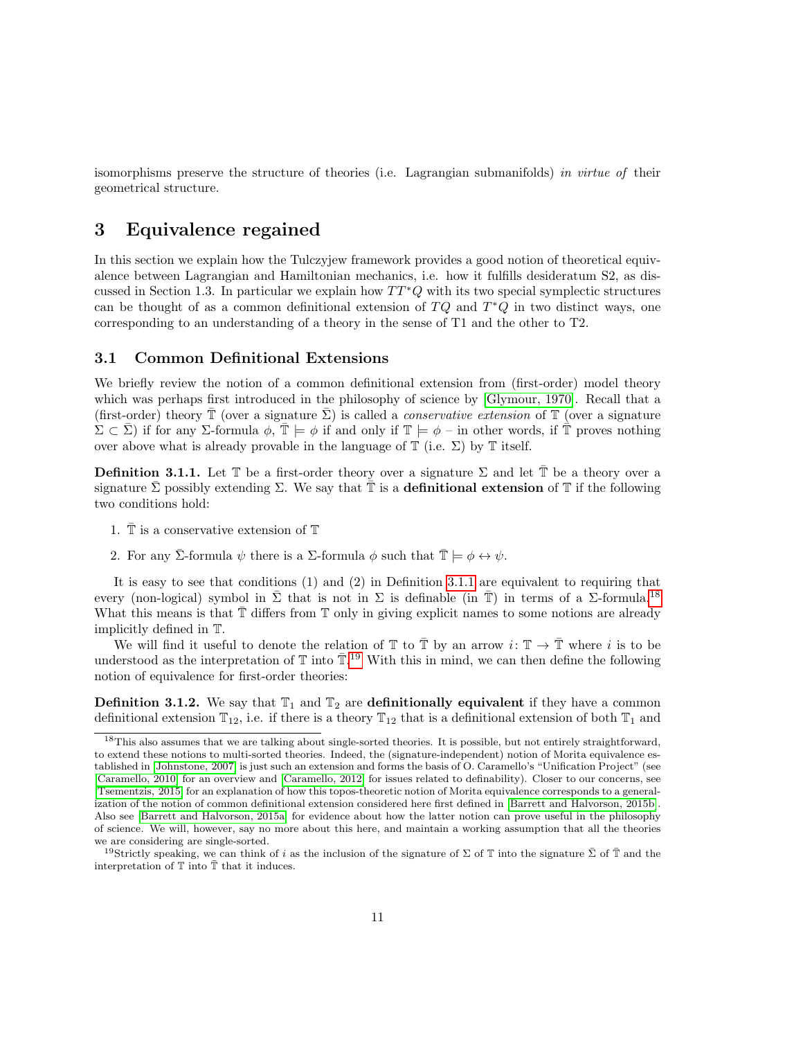isomorphisms preserve the structure of theories (i.e. Lagrangian submanifolds) in virtue of their geometrical structure.

## <span id="page-10-0"></span>3 Equivalence regained

In this section we explain how the Tulczyjew framework provides a good notion of theoretical equivalence between Lagrangian and Hamiltonian mechanics, i.e. how it fulfills desideratum S2, as discussed in Section 1.3. In particular we explain how  $TT^*Q$  with its two special symplectic structures can be thought of as a common definitional extension of  $TQ$  and  $T^*Q$  in two distinct ways, one corresponding to an understanding of a theory in the sense of T1 and the other to T2.

#### <span id="page-10-1"></span>3.1 Common Definitional Extensions

We briefly review the notion of a common definitional extension from (first-order) model theory which was perhaps first introduced in the philosophy of science by [\[Glymour, 1970\]](#page-20-7). Recall that a (first-order) theory  $\mathbb T$  (over a signature  $\Sigma$ ) is called a *conservative extension* of  $\mathbb T$  (over a signature  $\Sigma \subset \overline{\Sigma}$ ) if for any  $\Sigma$ -formula  $\phi$ ,  $\overline{\mathbb{T}} \models \phi$  if and only if  $\mathbb{T} \models \phi$  – in other words, if  $\overline{\mathbb{T}}$  proves nothing over above what is already provable in the language of  $\mathbb T$  (i.e.  $\Sigma$ ) by  $\mathbb T$  itself.

<span id="page-10-2"></span>**Definition 3.1.1.** Let  $\mathbb{T}$  be a first-order theory over a signature  $\Sigma$  and let  $\mathbb{\bar{T}}$  be a theory over a signature  $\Sigma$  possibly extending  $\Sigma$ . We say that  $\mathbb T$  is a **definitional extension** of  $\mathbb T$  if the following two conditions hold:

- 1.  $\mathbb T$  is a conservative extension of  $\mathbb T$
- 2. For any  $\bar{\Sigma}$ -formula  $\psi$  there is a  $\Sigma$ -formula  $\phi$  such that  $\bar{\mathbb{T}} \models \phi \leftrightarrow \psi$ .

It is easy to see that conditions (1) and (2) in Definition [3.1.1](#page-10-2) are equivalent to requiring that every (non-logical) symbol in  $\Sigma$  that is not in  $\Sigma$  is definable (in  $\mathbb T)$  in terms of a  $\Sigma$ -formula.<sup>[18](#page-10-3)</sup> What this means is that  $T$  differs from  $T$  only in giving explicit names to some notions are already implicitly defined in T.

We will find it useful to denote the relation of  $\mathbb T$  to  $\overline{\mathbb T}$  by an arrow  $i: \mathbb T \to \overline{\mathbb T}$  where i is to be understood as the interpretation of  $\mathbb T$  into  $\mathbb T$ .<sup>[19](#page-10-4)</sup> With this in mind, we can then define the following notion of equivalence for first-order theories:

<span id="page-10-5"></span>**Definition 3.1.2.** We say that  $\mathbb{T}_1$  and  $\mathbb{T}_2$  are **definitionally equivalent** if they have a common definitional extension  $\mathbb{T}_{12}$ , i.e. if there is a theory  $\mathbb{T}_{12}$  that is a definitional extension of both  $\mathbb{T}_1$  and

<span id="page-10-3"></span><sup>&</sup>lt;sup>18</sup>This also assumes that we are talking about single-sorted theories. It is possible, but not entirely straightforward, to extend these notions to multi-sorted theories. Indeed, the (signature-independent) notion of Morita equivalence established in [\[Johnstone, 2007\]](#page-20-8) is just such an extension and forms the basis of O. Caramello's "Unification Project" (see [\[Caramello, 2010\]](#page-20-9) for an overview and [\[Caramello, 2012\]](#page-20-10) for issues related to definability). Closer to our concerns, see [\[Tsementzis, 2015\]](#page-21-5) for an explanation of how this topos-theoretic notion of Morita equivalence corresponds to a generalization of the notion of common definitional extension considered here first defined in [\[Barrett and Halvorson, 2015b\]](#page-20-11). Also see [\[Barrett and Halvorson, 2015a\]](#page-19-0) for evidence about how the latter notion can prove useful in the philosophy of science. We will, however, say no more about this here, and maintain a working assumption that all the theories we are considering are single-sorted.

<span id="page-10-4"></span><sup>&</sup>lt;sup>19</sup>Strictly speaking, we can think of i as the inclusion of the signature of  $\Sigma$  of  $\mathbb T$  into the signature  $\bar{\Sigma}$  of  $\bar{\mathbb T}$  and the interpretation of  $\mathbb T$  into  $\bar{\mathbb T}$  that it induces.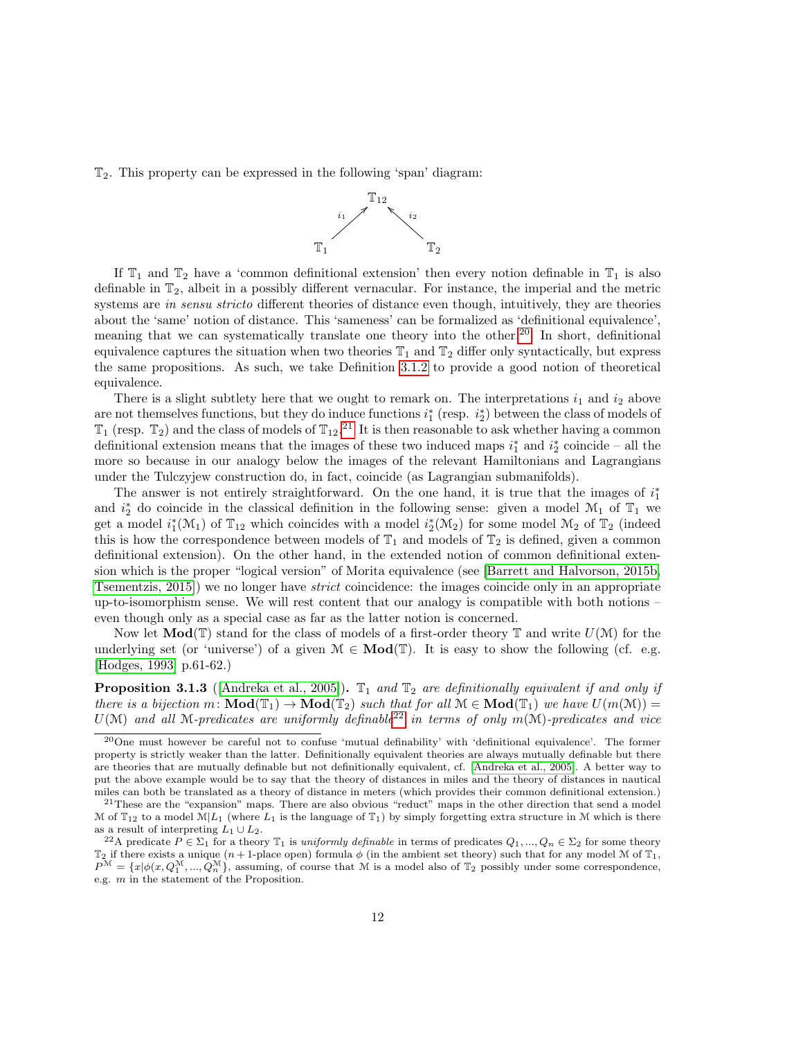T2. This property can be expressed in the following 'span' diagram:



If  $\mathbb{T}_1$  and  $\mathbb{T}_2$  have a 'common definitional extension' then every notion definable in  $\mathbb{T}_1$  is also definable in  $\mathbb{T}_2$ , albeit in a possibly different vernacular. For instance, the imperial and the metric systems are in sensu stricto different theories of distance even though, intuitively, they are theories about the 'same' notion of distance. This 'sameness' can be formalized as 'definitional equivalence', meaning that we can systematically translate one theory into the other.<sup>[20](#page-11-0)</sup> In short, definitional equivalence captures the situation when two theories  $\mathbb{T}_1$  and  $\mathbb{T}_2$  differ only syntactically, but express the same propositions. As such, we take Definition [3.1.2](#page-10-5) to provide a good notion of theoretical equivalence.

There is a slight subtlety here that we ought to remark on. The interpretations  $i_1$  and  $i_2$  above are not themselves functions, but they do induce functions  $i_1^*$  (resp.  $i_2^*$ ) between the class of models of  $\mathbb{T}_1$  (resp.  $\mathbb{T}_2$ ) and the class of models of  $\mathbb{T}_{12}$ .<sup>[21](#page-11-1)</sup> It is then reasonable to ask whether having a common  $\mathbb{T}_1$  (resp.  $\mathbb{T}_2$ ) and the class of models of  $\mathbb{T}_{12}$ .<sup>21</sup> It is then reasonable to ask w definitional extension means that the images of these two induced maps  $i_1^*$  and  $i_2^*$  coincide – all the more so because in our analogy below the images of the relevant Hamiltonians and Lagrangians under the Tulczyjew construction do, in fact, coincide (as Lagrangian submanifolds).

The answer is not entirely straightforward. On the one hand, it is true that the images of  $i_1^*$ and  $i_2^*$  do coincide in the classical definition in the following sense: given a model  $\mathcal{M}_1$  of  $\mathbb{T}_1$  we get a model  $i_1^*(\mathcal{M}_1)$  of  $\mathbb{T}_{12}$  which coincides with a model  $i_2^*(\mathcal{M}_2)$  for some model  $\mathcal{M}_2$  of  $\mathbb{T}_2$  (indeed this is how the correspondence between models of  $\mathbb{T}_1$  and models of  $\mathbb{T}_2$  is defined, given a common definitional extension). On the other hand, in the extended notion of common definitional extension which is the proper "logical version" of Morita equivalence (see [\[Barrett and Halvorson, 2015b,](#page-20-11) [Tsementzis, 2015\]](#page-21-5)) we no longer have strict coincidence: the images coincide only in an appropriate up-to-isomorphism sense. We will rest content that our analogy is compatible with both notions – even though only as a special case as far as the latter notion is concerned.

Now let  $\text{Mod}(\mathbb{T})$  stand for the class of models of a first-order theory  $\mathbb{T}$  and write  $U(\mathcal{M})$  for the underlying set (or 'universe') of a given  $\mathcal{M} \in \mathbf{Mod}(\mathbb{T})$ . It is easy to show the following (cf. e.g. [\[Hodges, 1993\]](#page-20-12) p.61-62.)

<span id="page-11-3"></span>**Proposition 3.1.3** ([\[Andreka et al., 2005\]](#page-19-1)).  $\mathbb{T}_1$  and  $\mathbb{T}_2$  are definitionally equivalent if and only if there is a bijection  $m: \text{Mod}(\mathbb{T}_1) \to \text{Mod}(\mathbb{T}_2)$  such that for all  $\mathcal{M} \in \text{Mod}(\mathbb{T}_1)$  we have  $U(m(\mathcal{M})) =$  $U(\mathcal{M})$  and all M-predicates are uniformly definable<sup>[22](#page-11-2)</sup> in terms of only m(M)-predicates and vice

<span id="page-11-0"></span><sup>20</sup>One must however be careful not to confuse 'mutual definability' with 'definitional equivalence'. The former property is strictly weaker than the latter. Definitionally equivalent theories are always mutually definable but there are theories that are mutually definable but not definitionally equivalent, cf. [\[Andreka et al., 2005\]](#page-19-1). A better way to put the above example would be to say that the theory of distances in miles and the theory of distances in nautical miles can both be translated as a theory of distance in meters (which provides their common definitional extension.)

<span id="page-11-1"></span><sup>21</sup>These are the "expansion" maps. There are also obvious "reduct" maps in the other direction that send a model M of  $\mathbb{T}_{12}$  to a model  $\mathbb{M}|L_1$  (where  $L_1$  is the language of  $\mathbb{T}_1$ ) by simply forgetting extra structure in M which is there as a result of interpreting  $L_1 \cup L_2$ .

<span id="page-11-2"></span><sup>&</sup>lt;sup>22</sup>A predicate  $P \in \Sigma_1$  for a theory  $\mathbb{T}_1$  is uniformly definable in terms of predicates  $Q_1, ..., Q_n \in \Sigma_2$  for some theory  $\mathbb{T}_2$  if there exists a unique  $(n+1)$ -place open) formula  $\phi$  (in the ambient set theory) such that for any model M of  $\mathbb{T}_1$ ,  $P^{\mathcal{M}} = \{x | \phi(x, Q_1^{\mathcal{M}}, ..., Q_n^{\mathcal{M}}\},\$ assuming, of course that  $\mathcal{M}$  is a model also of  $\mathbb{T}_2$  possibly under some correspondence, e.g. m in the statement of the Proposition.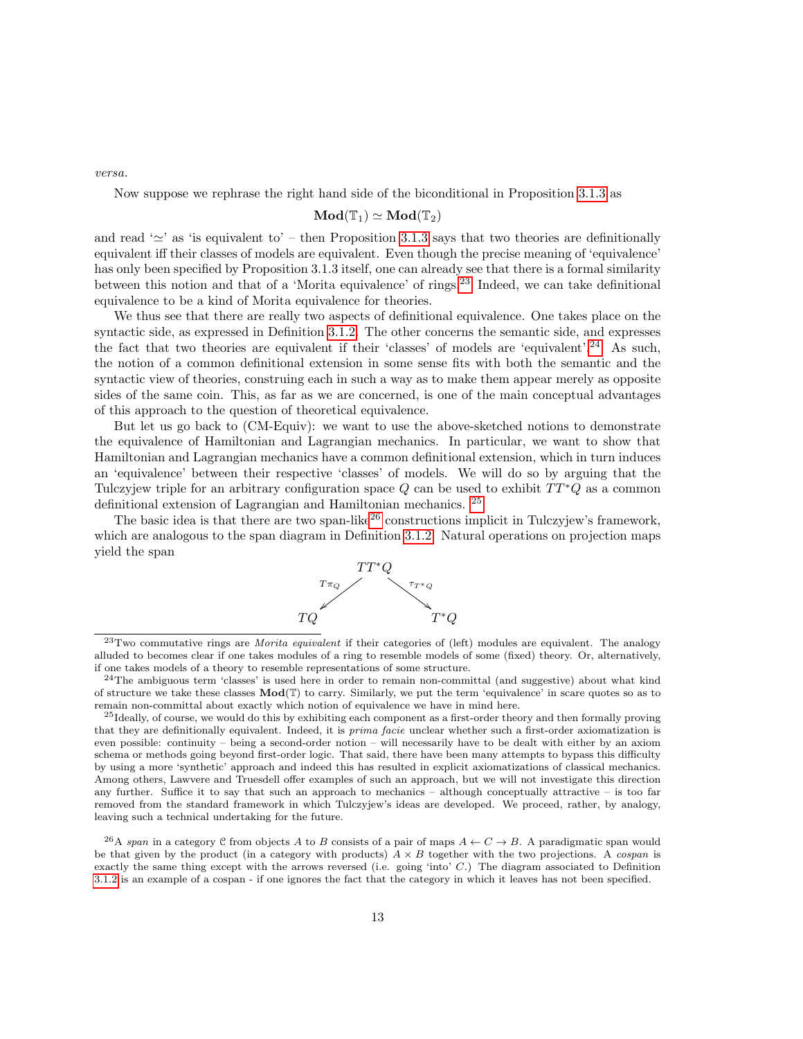versa.

Now suppose we rephrase the right hand side of the biconditional in Proposition [3.1.3](#page-11-3) as

$$
\mathbf{Mod}(\mathbb{T}_1)\simeq \mathbf{Mod}(\mathbb{T}_2)
$$

and read ' $\simeq$ ' as 'is equivalent to' – then Proposition [3.1.3](#page-11-3) says that two theories are definitionally equivalent iff their classes of models are equivalent. Even though the precise meaning of 'equivalence' has only been specified by Proposition 3.1.3 itself, one can already see that there is a formal similarity between this notion and that of a 'Morita equivalence' of rings.<sup>[23](#page-12-0)</sup> Indeed, we can take definitional equivalence to be a kind of Morita equivalence for theories.

We thus see that there are really two aspects of definitional equivalence. One takes place on the syntactic side, as expressed in Definition [3.1.2.](#page-10-5) The other concerns the semantic side, and expresses the fact that two theories are equivalent if their 'classes' of models are 'equivalent'.[24](#page-12-1) As such, the notion of a common definitional extension in some sense fits with both the semantic and the syntactic view of theories, construing each in such a way as to make them appear merely as opposite sides of the same coin. This, as far as we are concerned, is one of the main conceptual advantages of this approach to the question of theoretical equivalence.

But let us go back to (CM-Equiv): we want to use the above-sketched notions to demonstrate the equivalence of Hamiltonian and Lagrangian mechanics. In particular, we want to show that Hamiltonian and Lagrangian mechanics have a common definitional extension, which in turn induces an 'equivalence' between their respective 'classes' of models. We will do so by arguing that the Tulczyjew triple for an arbitrary configuration space  $Q$  can be used to exhibit  $TT^*Q$  as a common definitional extension of Lagrangian and Hamiltonian mechanics. [25](#page-12-2)

The basic idea is that there are two span-like<sup>[26](#page-12-3)</sup> constructions implicit in Tulczyjew's framework, which are analogous to the span diagram in Definition [3.1.2.](#page-10-5) Natural operations on projection maps yield the span



<span id="page-12-0"></span> $^{23}$ Two commutative rings are *Morita equivalent* if their categories of (left) modules are equivalent. The analogy alluded to becomes clear if one takes modules of a ring to resemble models of some (fixed) theory. Or, alternatively, if one takes models of a theory to resemble representations of some structure.

<span id="page-12-1"></span><sup>24</sup>The ambiguous term 'classes' is used here in order to remain non-committal (and suggestive) about what kind of structure we take these classes  $\text{Mod}(\mathbb{T})$  to carry. Similarly, we put the term 'equivalence' in scare quotes so as to remain non-committal about exactly which notion of equivalence we have in mind here.

<span id="page-12-2"></span><sup>&</sup>lt;sup>25</sup>Ideally, of course, we would do this by exhibiting each component as a first-order theory and then formally proving that they are definitionally equivalent. Indeed, it is prima facie unclear whether such a first-order axiomatization is even possible: continuity – being a second-order notion – will necessarily have to be dealt with either by an axiom schema or methods going beyond first-order logic. That said, there have been many attempts to bypass this difficulty by using a more 'synthetic' approach and indeed this has resulted in explicit axiomatizations of classical mechanics. Among others, Lawvere and Truesdell offer examples of such an approach, but we will not investigate this direction any further. Suffice it to say that such an approach to mechanics – although conceptually attractive – is too far removed from the standard framework in which Tulczyjew's ideas are developed. We proceed, rather, by analogy, leaving such a technical undertaking for the future.

<span id="page-12-3"></span><sup>&</sup>lt;sup>26</sup>A span in a category C from objects A to B consists of a pair of maps  $A \leftarrow C \rightarrow B$ . A paradigmatic span would be that given by the product (in a category with products)  $A \times B$  together with the two projections. A cospan is exactly the same thing except with the arrows reversed (i.e. going 'into' C.) The diagram associated to Definition [3.1.2](#page-10-5) is an example of a cospan - if one ignores the fact that the category in which it leaves has not been specified.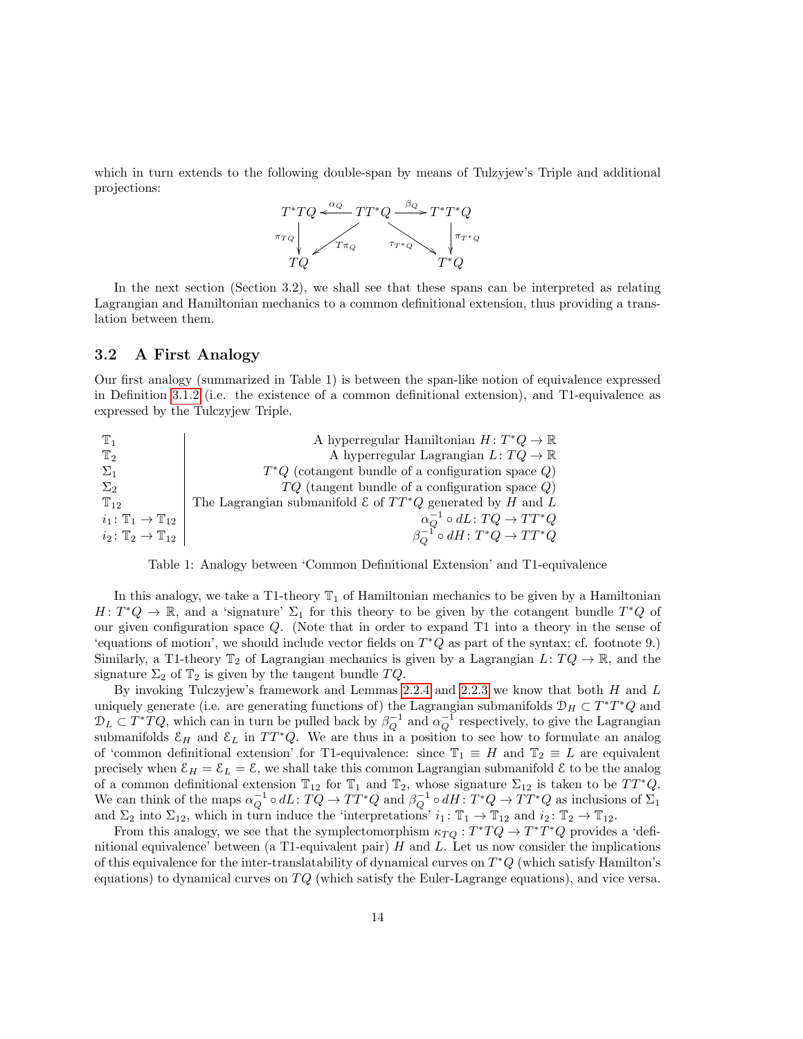which in turn extends to the following double-span by means of Tulzyjew's Triple and additional projections:



In the next section (Section 3.2), we shall see that these spans can be interpreted as relating Lagrangian and Hamiltonian mechanics to a common definitional extension, thus providing a translation between them.

#### <span id="page-13-0"></span>3.2 A First Analogy

Our first analogy (summarized in Table 1) is between the span-like notion of equivalence expressed in Definition [3.1.2](#page-10-5) (i.e. the existence of a common definitional extension), and T1-equivalence as expressed by the Tulczyjew Triple.

| ${\mathbb T}_1$                             | A hyperregular Hamiltonian $H: T^*Q \to \mathbb{R}$                     |
|---------------------------------------------|-------------------------------------------------------------------------|
| $\mathbb{T}_2$                              | A hyperregular Lagrangian $L: TQ \to \mathbb{R}$                        |
| $\Sigma_1$                                  | $T^*Q$ (cotangent bundle of a configuration space $Q$ )                 |
| $\Sigma_2$                                  | $TQ$ (tangent bundle of a configuration space $Q$ )                     |
| $T_{12}$                                    | The Lagrangian submanifold $\mathcal E$ of $TT^*Q$ generated by H and L |
| $i_1\colon \mathbb{T}_1\to \mathbb{T}_{12}$ | $\alpha_O^{-1} \circ dL \colon TQ \to TT^*Q$                            |
| $i_2\colon \mathbb{T}_2\to \mathbb{T}_{12}$ | $\beta_O^{-1} \circ dH \colon T^*Q \to TT^*Q$                           |

Table 1: Analogy between 'Common Definitional Extension' and T1-equivalence

In this analogy, we take a T1-theory  $\mathbb{T}_1$  of Hamiltonian mechanics to be given by a Hamiltonian  $H: T^*Q \to \mathbb{R}$ , and a 'signature'  $\Sigma_1$  for this theory to be given by the cotangent bundle  $T^*Q$  of our given configuration space Q. (Note that in order to expand T1 into a theory in the sense of 'equations of motion', we should include vector fields on  $T^*Q$  as part of the syntax; cf. footnote 9.) Similarly, a T1-theory  $\mathbb{T}_2$  of Lagrangian mechanics is given by a Lagrangian  $L: TQ \to \mathbb{R}$ , and the signature  $\Sigma_2$  of  $\mathbb{T}_2$  is given by the tangent bundle  $TQ$ .

By invoking Tulczyjew's framework and Lemmas  $2.2.4$  and  $2.2.3$  we know that both H and L uniquely generate (i.e. are generating functions of) the Lagrangian submanifolds  $\mathcal{D}_H \subset T^*T^*Q$  and  $\mathcal{D}_L \subset T^*TQ$ , which can in turn be pulled back by  $\beta_Q^{-1}$  and  $\alpha_Q^{-1}$  respectively, to give the Lagrangian submanifolds  $\mathcal{E}_H$  and  $\mathcal{E}_L$  in  $TT^*Q$ . We are thus in a position to see how to formulate an analog of 'common definitional extension' for T1-equivalence: since  $\mathbb{T}_1 \equiv H$  and  $\mathbb{T}_2 \equiv L$  are equivalent precisely when  $\mathcal{E}_H = \mathcal{E}_L = \mathcal{E}$ , we shall take this common Lagrangian submanifold  $\mathcal{E}$  to be the analog of a common definitional extension  $\mathbb{T}_{12}$  for  $\mathbb{T}_1$  and  $\mathbb{T}_2$ , whose signature  $\Sigma_{12}$  is taken to be  $TT^*Q$ . We can think of the maps  $\alpha_Q^{-1} \circ dL: TQ \to TT^*Q$  and  $\beta_Q^{-1} \circ dH: T^*Q \to TT^*Q$  as inclusions of  $\Sigma_1$ and  $\Sigma_2$  into  $\Sigma_{12}$ , which in turn induce the 'interpretations'  $i_1: \mathbb{T}_1 \to \mathbb{T}_{12}$  and  $i_2: \mathbb{T}_2 \to \mathbb{T}_{12}$ .

From this analogy, we see that the symplectomorphism  $\kappa_{TQ}: T^*TQ \to T^*T^*Q$  provides a 'definitional equivalence' between (a T1-equivalent pair)  $H$  and  $L$ . Let us now consider the implications of this equivalence for the inter-translatability of dynamical curves on  $T^*Q$  (which satisfy Hamilton's equations) to dynamical curves on  $TQ$  (which satisfy the Euler-Lagrange equations), and vice versa.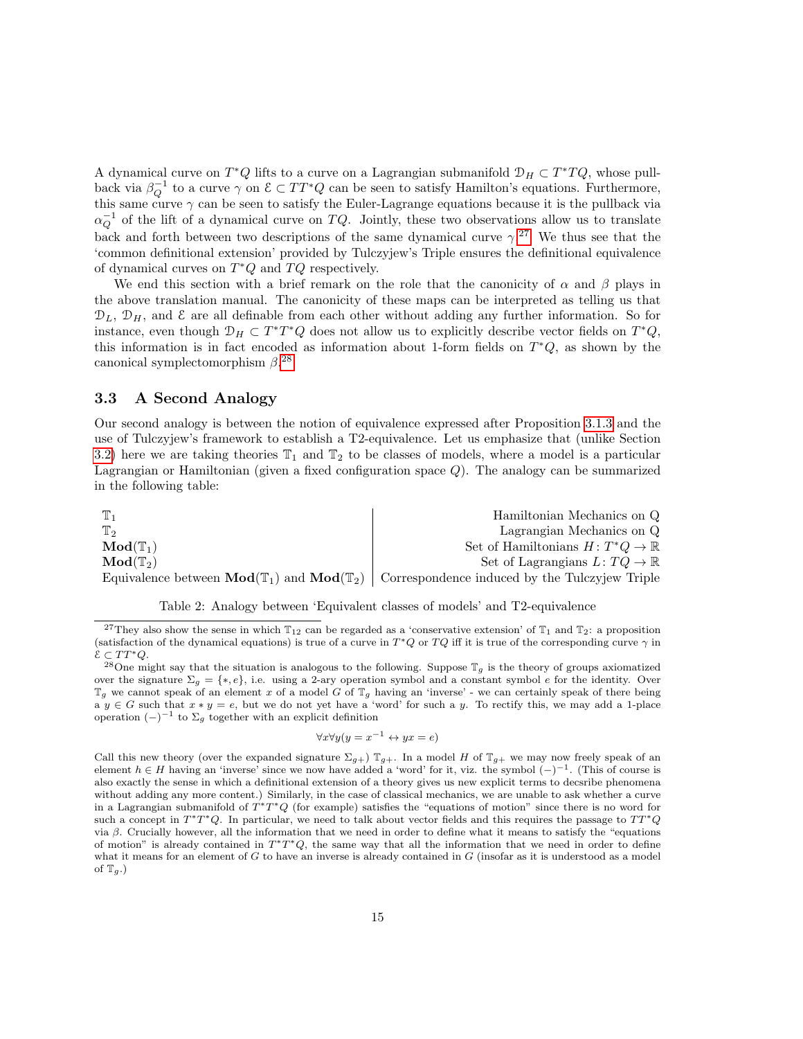A dynamical curve on  $T^*Q$  lifts to a curve on a Lagrangian submanifold  $\mathcal{D}_H \subset T^*TQ$ , whose pullback via  $\beta_Q^{-1}$  to a curve  $\gamma$  on  $\mathcal{E} \subset TT^*Q$  can be seen to satisfy Hamilton's equations. Furthermore, this same curve  $\gamma$  can be seen to satisfy the Euler-Lagrange equations because it is the pullback via  $\alpha_Q^{-1}$  of the lift of a dynamical curve on TQ. Jointly, these two observations allow us to translate back and forth between two descriptions of the same dynamical curve  $\gamma$ <sup>[27](#page-14-1)</sup>. We thus see that the 'common definitional extension' provided by Tulczyjew's Triple ensures the definitional equivalence of dynamical curves on  $T^*Q$  and  $TQ$  respectively.

We end this section with a brief remark on the role that the canonicity of  $\alpha$  and  $\beta$  plays in the above translation manual. The canonicity of these maps can be interpreted as telling us that  $\mathcal{D}_L$ ,  $\mathcal{D}_H$ , and  $\mathcal E$  are all definable from each other without adding any further information. So for instance, even though  $\mathcal{D}_H \subset T^*T^*Q$  does not allow us to explicitly describe vector fields on  $T^*Q$ , this information is in fact encoded as information about 1-form fields on  $T^*Q$ , as shown by the canonical symplectomorphism  $\beta$ <sup>[28](#page-14-2)</sup>

#### <span id="page-14-0"></span>3.3 A Second Analogy

Our second analogy is between the notion of equivalence expressed after Proposition [3.1.3](#page-11-3) and the use of Tulczyjew's framework to establish a T2-equivalence. Let us emphasize that (unlike Section [3.2\)](#page-13-0) here we are taking theories  $\mathbb{T}_1$  and  $\mathbb{T}_2$  to be classes of models, where a model is a particular Lagrangian or Hamiltonian (given a fixed configuration space Q). The analogy can be summarized in the following table:

| ${\mathbb T}_1$              | Hamiltonian Mechanics on Q                                                                                                   |
|------------------------------|------------------------------------------------------------------------------------------------------------------------------|
| $\mathbb{T}$                 | Lagrangian Mechanics on Q                                                                                                    |
| $\mathbf{Mod}(\mathbb{T}_1)$ | Set of Hamiltonians $H: T^*Q \to \mathbb{R}$                                                                                 |
| $\mathbf{Mod}(\mathbb{T}_2)$ | Set of Lagrangians $L: TQ \to \mathbb{R}$                                                                                    |
|                              | Equivalence between $\text{Mod}(\mathbb{T}_1)$ and $\text{Mod}(\mathbb{T}_2)$ Correspondence induced by the Tulczyjew Triple |



<span id="page-14-1"></span><sup>&</sup>lt;sup>27</sup>They also show the sense in which  $T_{12}$  can be regarded as a 'conservative extension' of  $T_1$  and  $T_2$ : a proposition (satisfaction of the dynamical equations) is true of a curve in  $T^*Q$  or  $TQ$  iff it is true of the corresponding curve  $\gamma$  in  $\mathcal{E} \subset TT^*Q.$ 

$$
\forall x \forall y (y = x^{-1} \leftrightarrow yx = e)
$$

Call this new theory (over the expanded signature  $\Sigma_{g+}$ )  $\mathbb{T}_{g+}$ . In a model H of  $\mathbb{T}_{g+}$  we may now freely speak of an element  $h \in H$  having an 'inverse' since we now have added a 'word' for it, viz. the symbol  $(-)^{-1}$ . (This of course is also exactly the sense in which a definitional extension of a theory gives us new explicit terms to decsribe phenomena without adding any more content.) Similarly, in the case of classical mechanics, we are unable to ask whether a curve in a Lagrangian submanifold of  $T^*T^*Q$  (for example) satisfies the "equations of motion" since there is no word for such a concept in  $T^*T^*Q$ . In particular, we need to talk about vector fields and this requires the passage to  $TT^*Q$ via β. Crucially however, all the information that we need in order to define what it means to satisfy the "equations of motion" is already contained in  $T^*T^*Q$ , the same way that all the information that we need in order to define what it means for an element of  $G$  to have an inverse is already contained in  $G$  (insofar as it is understood as a model of  $\mathbb{T}_q$ .)

<span id="page-14-2"></span><sup>&</sup>lt;sup>28</sup>One might say that the situation is analogous to the following. Suppose  $\mathbb{T}_g$  is the theory of groups axiomatized over the signature  $\Sigma_g = \{*, e\}$ , i.e. using a 2-ary operation symbol and a constant symbol e for the identity. Over  $\mathbb{T}_g$  we cannot speak of an element x of a model G of  $\mathbb{T}_g$  having an 'inverse' - we can certainly speak of there being a y ∈ G such that  $x * y = e$ , but we do not yet have a 'word' for such a y. To rectify this, we may add a 1-place operation  $(-)^{-1}$  to  $\Sigma_g$  together with an explicit definition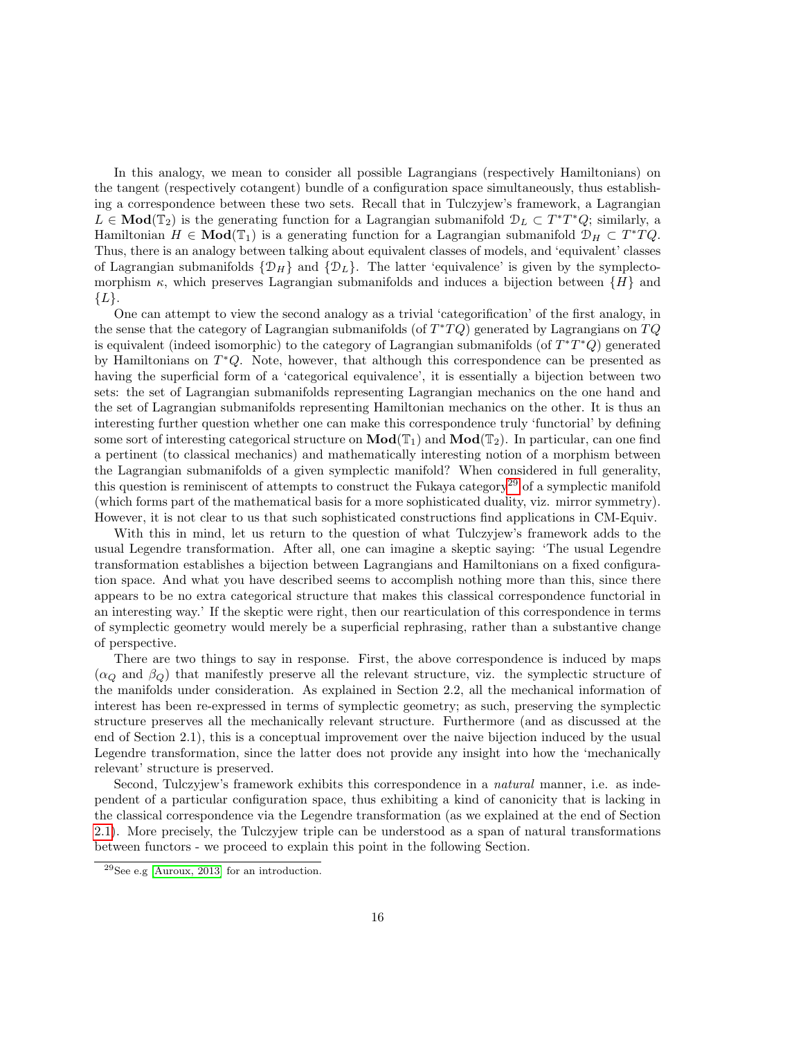In this analogy, we mean to consider all possible Lagrangians (respectively Hamiltonians) on the tangent (respectively cotangent) bundle of a configuration space simultaneously, thus establishing a correspondence between these two sets. Recall that in Tulczyjew's framework, a Lagrangian  $L \in Mod(\mathbb{T}_2)$  is the generating function for a Lagrangian submanifold  $\mathcal{D}_L \subset T^*T^*Q$ ; similarly, a Hamiltonian  $H \in \text{Mod}(\mathbb{T}_1)$  is a generating function for a Lagrangian submanifold  $\mathcal{D}_H \subset T^*TQ$ . Thus, there is an analogy between talking about equivalent classes of models, and 'equivalent' classes of Lagrangian submanifolds  $\{\mathcal{D}_H\}$  and  $\{\mathcal{D}_L\}$ . The latter 'equivalence' is given by the symplectomorphism  $\kappa$ , which preserves Lagrangian submanifolds and induces a bijection between  $\{H\}$  and  ${L}.$ 

One can attempt to view the second analogy as a trivial 'categorification' of the first analogy, in the sense that the category of Lagrangian submanifolds (of  $T^*TQ$ ) generated by Lagrangians on  $TQ$ is equivalent (indeed isomorphic) to the category of Lagrangian submanifolds (of  $T^*T^*Q$ ) generated by Hamiltonians on  $T^*Q$ . Note, however, that although this correspondence can be presented as having the superficial form of a 'categorical equivalence', it is essentially a bijection between two sets: the set of Lagrangian submanifolds representing Lagrangian mechanics on the one hand and the set of Lagrangian submanifolds representing Hamiltonian mechanics on the other. It is thus an interesting further question whether one can make this correspondence truly 'functorial' by defining some sort of interesting categorical structure on  $\text{Mod}(\mathbb{T}_1)$  and  $\text{Mod}(\mathbb{T}_2)$ . In particular, can one find a pertinent (to classical mechanics) and mathematically interesting notion of a morphism between the Lagrangian submanifolds of a given symplectic manifold? When considered in full generality, this question is reminiscent of attempts to construct the Fukaya category<sup>[29](#page-15-0)</sup> of a symplectic manifold (which forms part of the mathematical basis for a more sophisticated duality, viz. mirror symmetry). However, it is not clear to us that such sophisticated constructions find applications in CM-Equiv.

With this in mind, let us return to the question of what Tulczyjew's framework adds to the usual Legendre transformation. After all, one can imagine a skeptic saying: 'The usual Legendre transformation establishes a bijection between Lagrangians and Hamiltonians on a fixed configuration space. And what you have described seems to accomplish nothing more than this, since there appears to be no extra categorical structure that makes this classical correspondence functorial in an interesting way.' If the skeptic were right, then our rearticulation of this correspondence in terms of symplectic geometry would merely be a superficial rephrasing, rather than a substantive change of perspective.

There are two things to say in response. First, the above correspondence is induced by maps  $(\alpha_Q \text{ and } \beta_Q)$  that manifestly preserve all the relevant structure, viz. the symplectic structure of the manifolds under consideration. As explained in Section 2.2, all the mechanical information of interest has been re-expressed in terms of symplectic geometry; as such, preserving the symplectic structure preserves all the mechanically relevant structure. Furthermore (and as discussed at the end of Section 2.1), this is a conceptual improvement over the naive bijection induced by the usual Legendre transformation, since the latter does not provide any insight into how the 'mechanically relevant' structure is preserved.

Second, Tulczyjew's framework exhibits this correspondence in a *natural* manner, i.e. as independent of a particular configuration space, thus exhibiting a kind of canonicity that is lacking in the classical correspondence via the Legendre transformation (as we explained at the end of Section [2.1\)](#page-4-1). More precisely, the Tulczyjew triple can be understood as a span of natural transformations between functors - we proceed to explain this point in the following Section.

<span id="page-15-0"></span><sup>29</sup>See e.g [\[Auroux, 2013\]](#page-19-2) for an introduction.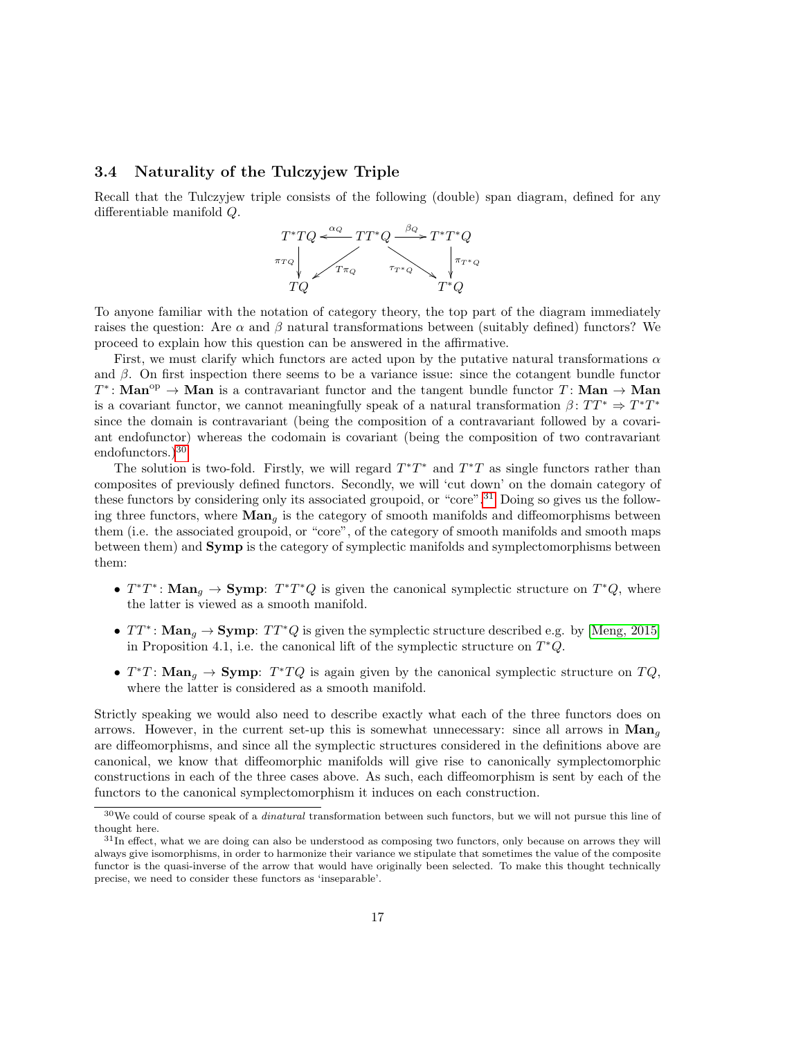#### <span id="page-16-0"></span>3.4 Naturality of the Tulczyjew Triple

Recall that the Tulczyjew triple consists of the following (double) span diagram, defined for any differentiable manifold Q.



To anyone familiar with the notation of category theory, the top part of the diagram immediately raises the question: Are  $\alpha$  and  $\beta$  natural transformations between (suitably defined) functors? We proceed to explain how this question can be answered in the affirmative.

First, we must clarify which functors are acted upon by the putative natural transformations  $\alpha$ and  $\beta$ . On first inspection there seems to be a variance issue: since the cotangent bundle functor  $T^*$ : Man<sup>op</sup>  $\rightarrow$  Man is a contravariant functor and the tangent bundle functor T: Man  $\rightarrow$  Man is a covariant functor, we cannot meaningfully speak of a natural transformation  $\beta \colon TT^* \Rightarrow T^*T^*$ since the domain is contravariant (being the composition of a contravariant followed by a covariant endofunctor) whereas the codomain is covariant (being the composition of two contravariant endofunctors.)<sup>[30](#page-16-1)</sup>

The solution is two-fold. Firstly, we will regard  $T^*T^*$  and  $T^*T$  as single functors rather than composites of previously defined functors. Secondly, we will 'cut down' on the domain category of these functors by considering only its associated groupoid, or "core".<sup>[31](#page-16-2)</sup> Doing so gives us the following three functors, where  $\text{Man}_a$  is the category of smooth manifolds and diffeomorphisms between them (i.e. the associated groupoid, or "core", of the category of smooth manifolds and smooth maps between them) and Symp is the category of symplectic manifolds and symplectomorphisms between them:

- $T^*T^*$ : Man<sub>g</sub>  $\rightarrow$  Symp:  $T^*T^*Q$  is given the canonical symplectic structure on  $T^*Q$ , where the latter is viewed as a smooth manifold.
- $TT^*$ : Man<sub>g</sub>  $\rightarrow$  Symp:  $TT^*Q$  is given the symplectic structure described e.g. by [\[Meng, 2015\]](#page-20-6) in Proposition 4.1, i.e. the canonical lift of the symplectic structure on  $T^*Q$ .
- $T^*T$ : Man<sub>g</sub>  $\rightarrow$  Symp:  $T^*TQ$  is again given by the canonical symplectic structure on  $TQ$ , where the latter is considered as a smooth manifold.

Strictly speaking we would also need to describe exactly what each of the three functors does on arrows. However, in the current set-up this is somewhat unnecessary: since all arrows in  $\text{Man}_{q}$ are diffeomorphisms, and since all the symplectic structures considered in the definitions above are canonical, we know that diffeomorphic manifolds will give rise to canonically symplectomorphic constructions in each of the three cases above. As such, each diffeomorphism is sent by each of the functors to the canonical symplectomorphism it induces on each construction.

<span id="page-16-1"></span> $30$ We could of course speak of a *dinatural* transformation between such functors, but we will not pursue this line of thought here.

<span id="page-16-2"></span> $31$ In effect, what we are doing can also be understood as composing two functors, only because on arrows they will always give isomorphisms, in order to harmonize their variance we stipulate that sometimes the value of the composite functor is the quasi-inverse of the arrow that would have originally been selected. To make this thought technically precise, we need to consider these functors as 'inseparable'.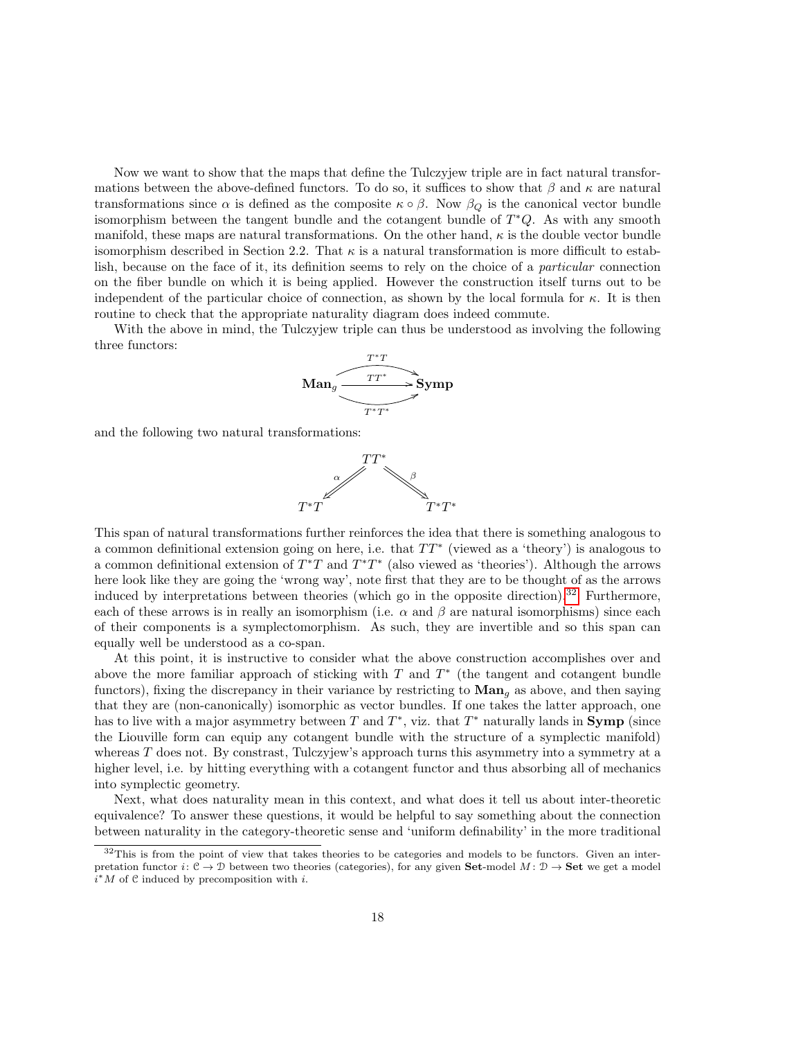Now we want to show that the maps that define the Tulczyjew triple are in fact natural transformations between the above-defined functors. To do so, it suffices to show that  $\beta$  and  $\kappa$  are natural transformations since  $\alpha$  is defined as the composite  $\kappa \circ \beta$ . Now  $\beta_Q$  is the canonical vector bundle isomorphism between the tangent bundle and the cotangent bundle of  $T^*Q$ . As with any smooth manifold, these maps are natural transformations. On the other hand,  $\kappa$  is the double vector bundle isomorphism described in Section 2.2. That  $\kappa$  is a natural transformation is more difficult to establish, because on the face of it, its definition seems to rely on the choice of a particular connection on the fiber bundle on which it is being applied. However the construction itself turns out to be independent of the particular choice of connection, as shown by the local formula for  $\kappa$ . It is then routine to check that the appropriate naturality diagram does indeed commute.

With the above in mind, the Tulczyjew triple can thus be understood as involving the following three functors:



and the following two natural transformations:



This span of natural transformations further reinforces the idea that there is something analogous to a common definitional extension going on here, i.e. that  $TT^*$  (viewed as a 'theory') is analogous to a common definitional extension of  $T^*T$  and  $T^*T^*$  (also viewed as 'theories'). Although the arrows here look like they are going the 'wrong way', note first that they are to be thought of as the arrows induced by interpretations between theories (which go in the opposite direction).<sup>[32](#page-17-0)</sup> Furthermore, each of these arrows is in really an isomorphism (i.e.  $\alpha$  and  $\beta$  are natural isomorphisms) since each of their components is a symplectomorphism. As such, they are invertible and so this span can equally well be understood as a co-span.

At this point, it is instructive to consider what the above construction accomplishes over and above the more familiar approach of sticking with  $T$  and  $T^*$  (the tangent and cotangent bundle functors), fixing the discrepancy in their variance by restricting to  $\mathbf{Man}_g$  as above, and then saying that they are (non-canonically) isomorphic as vector bundles. If one takes the latter approach, one has to live with a major asymmetry between T and  $T^*$ , viz. that  $T^*$  naturally lands in **Symp** (since the Liouville form can equip any cotangent bundle with the structure of a symplectic manifold) whereas  $T$  does not. By constrast, Tulczyjew's approach turns this asymmetry into a symmetry at a higher level, i.e. by hitting everything with a cotangent functor and thus absorbing all of mechanics into symplectic geometry.

Next, what does naturality mean in this context, and what does it tell us about inter-theoretic equivalence? To answer these questions, it would be helpful to say something about the connection between naturality in the category-theoretic sense and 'uniform definability' in the more traditional

<span id="page-17-0"></span> $32$ This is from the point of view that takes theories to be categories and models to be functors. Given an interpretation functor  $i: \mathcal{C} \to \mathcal{D}$  between two theories (categories), for any given **Set**-model  $M: \mathcal{D} \to \mathbf{Set}$  we get a model  $i^*M$  of  $C$  induced by precomposition with i.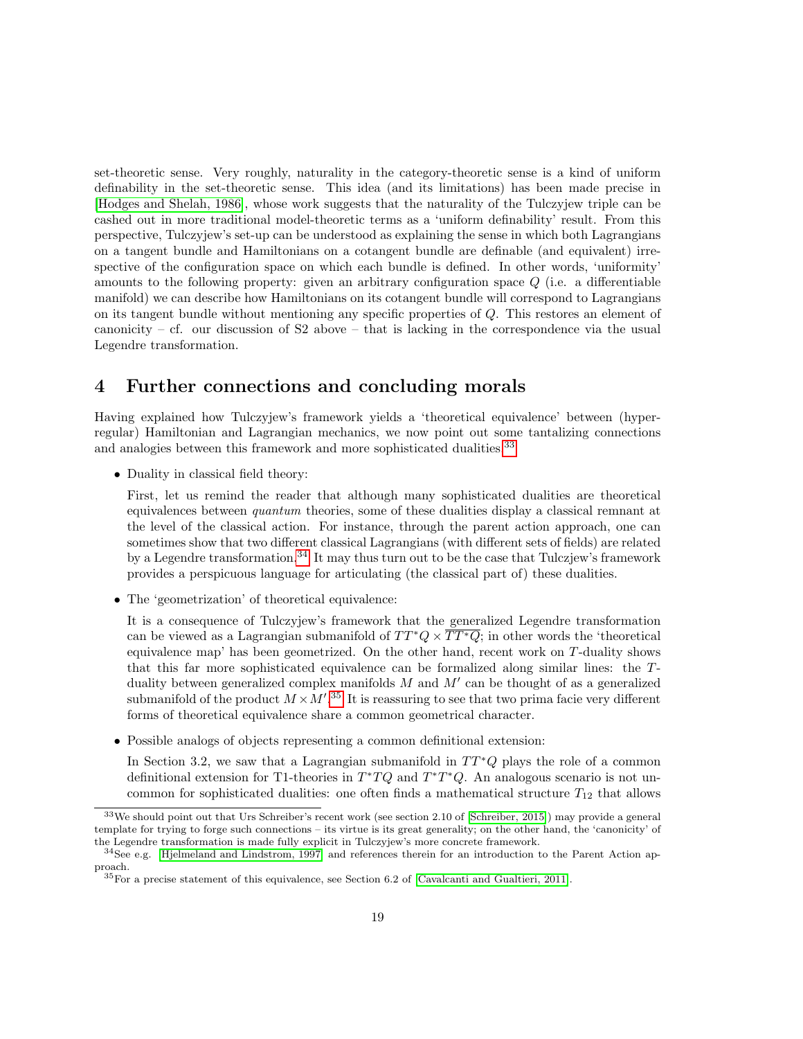set-theoretic sense. Very roughly, naturality in the category-theoretic sense is a kind of uniform definability in the set-theoretic sense. This idea (and its limitations) has been made precise in [\[Hodges and Shelah, 1986\]](#page-20-13), whose work suggests that the naturality of the Tulczyjew triple can be cashed out in more traditional model-theoretic terms as a 'uniform definability' result. From this perspective, Tulczyjew's set-up can be understood as explaining the sense in which both Lagrangians on a tangent bundle and Hamiltonians on a cotangent bundle are definable (and equivalent) irrespective of the configuration space on which each bundle is defined. In other words, 'uniformity' amounts to the following property: given an arbitrary configuration space Q (i.e. a differentiable manifold) we can describe how Hamiltonians on its cotangent bundle will correspond to Lagrangians on its tangent bundle without mentioning any specific properties of Q. This restores an element of canonicity – cf. our discussion of S2 above – that is lacking in the correspondence via the usual Legendre transformation.

## <span id="page-18-0"></span>4 Further connections and concluding morals

Having explained how Tulczyjew's framework yields a 'theoretical equivalence' between (hyperregular) Hamiltonian and Lagrangian mechanics, we now point out some tantalizing connections and analogies between this framework and more sophisticated dualities.<sup>[33](#page-18-1)</sup>

• Duality in classical field theory:

First, let us remind the reader that although many sophisticated dualities are theoretical equivalences between quantum theories, some of these dualities display a classical remnant at the level of the classical action. For instance, through the parent action approach, one can sometimes show that two different classical Lagrangians (with different sets of fields) are related by a Legendre transformation.[34](#page-18-2) It may thus turn out to be the case that Tulczjew's framework provides a perspicuous language for articulating (the classical part of) these dualities.

• The 'geometrization' of theoretical equivalence:

It is a consequence of Tulczyjew's framework that the generalized Legendre transformation can be viewed as a Lagrangian submanifold of  $TT^*Q \times \overline{TT^*Q}$ ; in other words the 'theoretical equivalence map' has been geometrized. On the other hand, recent work on T-duality shows that this far more sophisticated equivalence can be formalized along similar lines: the Tduality between generalized complex manifolds  $M$  and  $M'$  can be thought of as a generalized submanifold of the product  $M \times M'$ .<sup>[35](#page-18-3)</sup> It is reassuring to see that two prima facie very different forms of theoretical equivalence share a common geometrical character.

• Possible analogs of objects representing a common definitional extension:

In Section 3.2, we saw that a Lagrangian submanifold in  $TT^*Q$  plays the role of a common definitional extension for T1-theories in  $T^*TQ$  and  $T^*T^*Q$ . An analogous scenario is not uncommon for sophisticated dualities: one often finds a mathematical structure  $T_{12}$  that allows

<span id="page-18-1"></span><sup>33</sup>We should point out that Urs Schreiber's recent work (see section 2.10 of [\[Schreiber, 2015\]](#page-20-14)) may provide a general template for trying to forge such connections – its virtue is its great generality; on the other hand, the 'canonicity' of the Legendre transformation is made fully explicit in Tulczyjew's more concrete framework.

<span id="page-18-2"></span><sup>34</sup>See e.g. [\[Hjelmeland and Lindstrom, 1997\]](#page-20-15) and references therein for an introduction to the Parent Action approach.

<span id="page-18-3"></span><sup>35</sup>For a precise statement of this equivalence, see Section 6.2 of [\[Cavalcanti and Gualtieri, 2011\]](#page-20-16).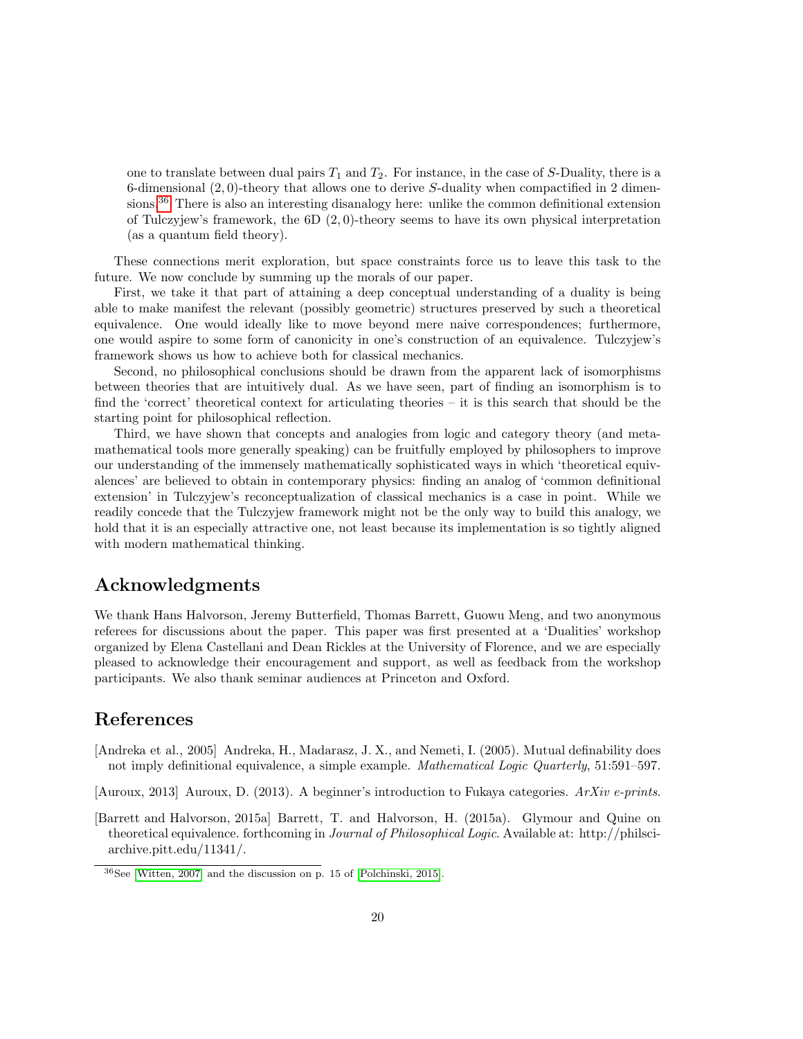one to translate between dual pairs  $T_1$  and  $T_2$ . For instance, in the case of S-Duality, there is a 6-dimensional  $(2,0)$ -theory that allows one to derive S-duality when compactified in 2 dimen-sions.<sup>[36](#page-19-3)</sup> There is also an interesting disanalogy here: unlike the common definitional extension of Tulczyjew's framework, the  $6D(2,0)$ -theory seems to have its own physical interpretation (as a quantum field theory).

These connections merit exploration, but space constraints force us to leave this task to the future. We now conclude by summing up the morals of our paper.

First, we take it that part of attaining a deep conceptual understanding of a duality is being able to make manifest the relevant (possibly geometric) structures preserved by such a theoretical equivalence. One would ideally like to move beyond mere naive correspondences; furthermore, one would aspire to some form of canonicity in one's construction of an equivalence. Tulczyjew's framework shows us how to achieve both for classical mechanics.

Second, no philosophical conclusions should be drawn from the apparent lack of isomorphisms between theories that are intuitively dual. As we have seen, part of finding an isomorphism is to find the 'correct' theoretical context for articulating theories – it is this search that should be the starting point for philosophical reflection.

Third, we have shown that concepts and analogies from logic and category theory (and metamathematical tools more generally speaking) can be fruitfully employed by philosophers to improve our understanding of the immensely mathematically sophisticated ways in which 'theoretical equivalences' are believed to obtain in contemporary physics: finding an analog of 'common definitional extension' in Tulczyjew's reconceptualization of classical mechanics is a case in point. While we readily concede that the Tulczyjew framework might not be the only way to build this analogy, we hold that it is an especially attractive one, not least because its implementation is so tightly aligned with modern mathematical thinking.

## Acknowledgments

We thank Hans Halvorson, Jeremy Butterfield, Thomas Barrett, Guowu Meng, and two anonymous referees for discussions about the paper. This paper was first presented at a 'Dualities' workshop organized by Elena Castellani and Dean Rickles at the University of Florence, and we are especially pleased to acknowledge their encouragement and support, as well as feedback from the workshop participants. We also thank seminar audiences at Princeton and Oxford.

## References

- <span id="page-19-1"></span>[Andreka et al., 2005] Andreka, H., Madarasz, J. X., and Nemeti, I. (2005). Mutual definability does not imply definitional equivalence, a simple example. *Mathematical Logic Quarterly*, 51:591–597.
- <span id="page-19-2"></span>[Auroux, 2013] Auroux, D. (2013). A beginner's introduction to Fukaya categories. ArXiv e-prints.
- <span id="page-19-0"></span>[Barrett and Halvorson, 2015a] Barrett, T. and Halvorson, H. (2015a). Glymour and Quine on theoretical equivalence. forthcoming in Journal of Philosophical Logic. Available at: http://philsciarchive.pitt.edu/11341/.

<span id="page-19-3"></span> $36$ See [\[Witten, 2007\]](#page-21-6) and the discussion on p. 15 of [\[Polchinski, 2015\]](#page-20-0).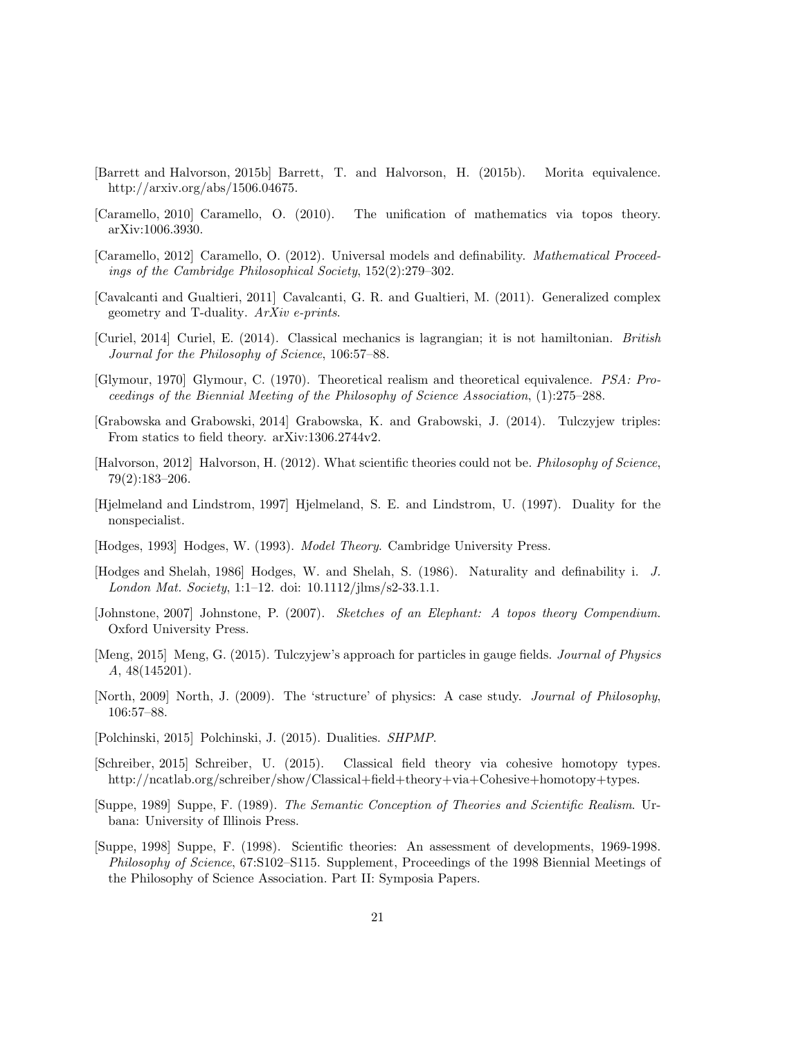- <span id="page-20-11"></span>[Barrett and Halvorson, 2015b] Barrett, T. and Halvorson, H. (2015b). Morita equivalence. http://arxiv.org/abs/1506.04675.
- <span id="page-20-9"></span>[Caramello, 2010] Caramello, O. (2010). The unification of mathematics via topos theory. arXiv:1006.3930.
- <span id="page-20-10"></span>[Caramello, 2012] Caramello, O. (2012). Universal models and definability. Mathematical Proceedings of the Cambridge Philosophical Society, 152(2):279–302.
- <span id="page-20-16"></span>[Cavalcanti and Gualtieri, 2011] Cavalcanti, G. R. and Gualtieri, M. (2011). Generalized complex geometry and T-duality. ArXiv e-prints.
- <span id="page-20-5"></span>[Curiel, 2014] Curiel, E. (2014). Classical mechanics is lagrangian; it is not hamiltonian. British Journal for the Philosophy of Science, 106:57–88.
- <span id="page-20-7"></span>[Glymour, 1970] Glymour, C. (1970). Theoretical realism and theoretical equivalence. PSA: Proceedings of the Biennial Meeting of the Philosophy of Science Association, (1):275–288.
- [Grabowska and Grabowski, 2014] Grabowska, K. and Grabowski, J. (2014). Tulczyjew triples: From statics to field theory. arXiv:1306.2744v2.
- <span id="page-20-2"></span>[Halvorson, 2012] Halvorson, H. (2012). What scientific theories could not be. Philosophy of Science, 79(2):183–206.
- <span id="page-20-15"></span>[Hjelmeland and Lindstrom, 1997] Hjelmeland, S. E. and Lindstrom, U. (1997). Duality for the nonspecialist.
- <span id="page-20-12"></span>[Hodges, 1993] Hodges, W. (1993). Model Theory. Cambridge University Press.
- <span id="page-20-13"></span>[Hodges and Shelah, 1986] Hodges, W. and Shelah, S. (1986). Naturality and definability i. J. London Mat. Society, 1:1–12. doi: 10.1112/jlms/s2-33.1.1.
- <span id="page-20-8"></span>[Johnstone, 2007] Johnstone, P. (2007). Sketches of an Elephant: A topos theory Compendium. Oxford University Press.
- <span id="page-20-6"></span>[Meng, 2015] Meng, G. (2015). Tulczyjew's approach for particles in gauge fields. Journal of Physics A, 48(145201).
- <span id="page-20-4"></span>[North, 2009] North, J. (2009). The 'structure' of physics: A case study. Journal of Philosophy, 106:57–88.
- <span id="page-20-0"></span>[Polchinski, 2015] Polchinski, J. (2015). Dualities. SHPMP.
- <span id="page-20-14"></span>[Schreiber, 2015] Schreiber, U. (2015). Classical field theory via cohesive homotopy types. http://ncatlab.org/schreiber/show/Classical+field+theory+via+Cohesive+homotopy+types.
- <span id="page-20-1"></span>[Suppe, 1989] Suppe, F. (1989). The Semantic Conception of Theories and Scientific Realism. Urbana: University of Illinois Press.
- <span id="page-20-3"></span>[Suppe, 1998] Suppe, F. (1998). Scientific theories: An assessment of developments, 1969-1998. Philosophy of Science, 67:S102–S115. Supplement, Proceedings of the 1998 Biennial Meetings of the Philosophy of Science Association. Part II: Symposia Papers.